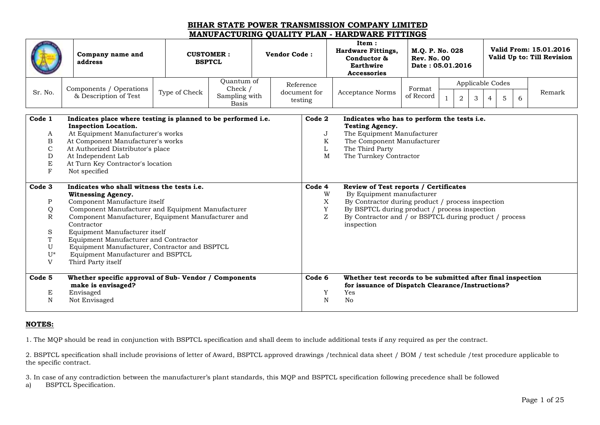|                                                                         | Company name and<br>address                                                                                                                                                                                                                                                                                                                                                                                            | <b>CUSTOMER:</b><br><b>BSPTCL</b>                                       | <b>Vendor Code:</b> |                                      | Item:<br><b>Hardware Fittings,</b><br>Conductor &<br>Earthwire<br><b>Accessories</b>                                                                                                                                                             | Valid From: 15.01.2016<br>M.Q. P. No. 028<br>Valid Up to: Till Revision<br><b>Rev. No. 00</b><br>Date: 05.01.2016<br>Applicable Codes |  |                |                     |  |        |        |  |  |
|-------------------------------------------------------------------------|------------------------------------------------------------------------------------------------------------------------------------------------------------------------------------------------------------------------------------------------------------------------------------------------------------------------------------------------------------------------------------------------------------------------|-------------------------------------------------------------------------|---------------------|--------------------------------------|--------------------------------------------------------------------------------------------------------------------------------------------------------------------------------------------------------------------------------------------------|---------------------------------------------------------------------------------------------------------------------------------------|--|----------------|---------------------|--|--------|--------|--|--|
| Sr. No.                                                                 | Components / Operations<br>& Description of Test                                                                                                                                                                                                                                                                                                                                                                       | Quantum of<br>Check /<br>Type of Check<br>Sampling with<br><b>Basis</b> |                     | Reference<br>document for<br>testing | Acceptance Norms                                                                                                                                                                                                                                 | Format<br>of Record                                                                                                                   |  | $\overline{2}$ | 3<br>$\overline{4}$ |  | 5<br>6 | Remark |  |  |
| Code 1<br>A<br>B<br>$\mathcal{C}$<br>D<br>$\mathbf E$<br>F              | Indicates place where testing is planned to be performed i.e.<br><b>Inspection Location.</b><br>At Equipment Manufacturer's works<br>At Component Manufacturer's works<br>At Authorized Distributor's place<br>At Independent Lab<br>At Turn Key Contractor's location<br>Not specified                                                                                                                                |                                                                         |                     | Code 2<br>J<br>K<br>L<br>M           | Indicates who has to perform the tests i.e.<br><b>Testing Agency.</b><br>The Equipment Manufacturer<br>The Component Manufacturer<br>The Third Party<br>The Turnkey Contractor                                                                   |                                                                                                                                       |  |                |                     |  |        |        |  |  |
| Code 3<br>P<br>Q<br>$\mathbb{R}$<br>S<br>T<br>U<br>$U^*$<br>$\mathbf V$ | Indicates who shall witness the tests i.e.<br><b>Witnessing Agency.</b><br>Component Manufacture itself<br>Component Manufacturer and Equipment Manufacturer<br>Component Manufacturer, Equipment Manufacturer and<br>Contractor<br>Equipment Manufacturer itself<br>Equipment Manufacturer and Contractor<br>Equipment Manufacturer, Contractor and BSPTCL<br>Equipment Manufacturer and BSPTCL<br>Third Party itself |                                                                         |                     | Code 4<br>W<br>X<br>Y<br>Z           | Review of Test reports / Certificates<br>By Equipment manufacturer<br>By Contractor during product / process inspection<br>By BSPTCL during product / process inspection<br>By Contractor and / or BSPTCL during product / process<br>inspection |                                                                                                                                       |  |                |                     |  |        |        |  |  |
| Code <sub>5</sub><br>E<br>$\mathbf N$                                   | Whether specific approval of Sub-Vendor / Components<br>make is envisaged?<br>Envisaged<br>Not Envisaged                                                                                                                                                                                                                                                                                                               |                                                                         |                     | Code 6<br>Y<br>N                     | Whether test records to be submitted after final inspection<br>for issuance of Dispatch Clearance/Instructions?<br>Yes<br>No                                                                                                                     |                                                                                                                                       |  |                |                     |  |        |        |  |  |

#### **NOTES:**

1. The MQP should be read in conjunction with BSPTCL specification and shall deem to include additional tests if any required as per the contract.

2. BSPTCL specification shall include provisions of letter of Award, BSPTCL approved drawings /technical data sheet / BOM / test schedule /test procedure applicable to the specific contract.

3. In case of any contradiction between the manufacturer's plant standards, this MQP and BSPTCL specification following precedence shall be followed

a) BSPTCL Specification.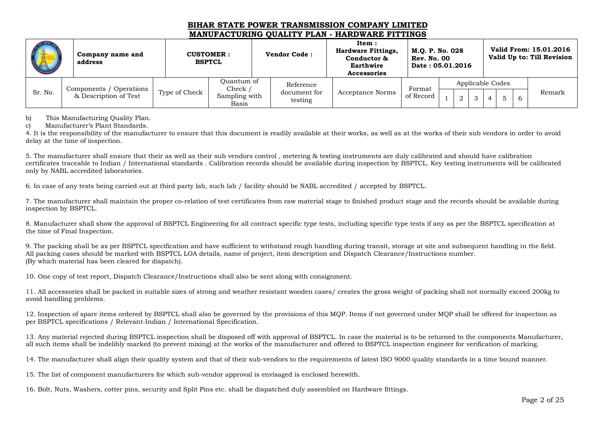|         | Company name and<br>address |               | <b>CUSTOMER:</b><br><b>BSPTCL</b> | <b>Vendor Code:</b>     | Item:<br><b>Hardware Fittings,</b><br>Conductor &<br><b>Earthwire</b><br><b>Accessories</b> | M.O. P. No. 028<br><b>Rev. No. 00</b><br>Date: 05.01.2016 |  |  |                  | Valid From: 15.01.2016<br>Valid Up to: Till Revision |
|---------|-----------------------------|---------------|-----------------------------------|-------------------------|---------------------------------------------------------------------------------------------|-----------------------------------------------------------|--|--|------------------|------------------------------------------------------|
|         | Components / Operations     |               | Ouantum of<br>Check ,             | Reference               |                                                                                             | Format                                                    |  |  | Applicable Codes |                                                      |
| Sr. No. | & Description of Test       | Type of Check | Sampling with<br>Basis            | document for<br>testing | Acceptance Norms                                                                            | of Record                                                 |  |  |                  | Remark                                               |

b) This Manufacturing Quality Plan.

c) Manufacturer's Plant Standards.

4. It is the responsibility of the manufacturer to ensure that this document is readily available at their works, as well as at the works of their sub vendors in order to avoid delay at the time of inspection.

5. The manufacturer shall ensure that their as well as their sub vendors control , metering & testing instruments are duly calibrated and should have calibration certificates traceable to Indian / International standards . Calibration records should be available during inspection by BSPTCL. Key testing instruments will be calibrated only by NABL accredited laboratories.

6. In case of any tests being carried out at third party lab, such lab / facility should be NABL accredited / accepted by BSPTCL.

7. The manufacturer shall maintain the proper co-relation of test certificates from raw material stage to finished product stage and the records should be available during inspection by BSPTCL.

8. Manufacturer shall show the approval of BSPTCL Engineering for all contract specific type tests, including specific type tests if any as per the BSPTCL specification at the time of Final Inspection.

9. The packing shall be as per BSPTCL specification and have sufficient to withstand rough handling during transit, storage at site and subsequent handling in the field. All packing cases should be marked with BSPTCL LOA details, name of project, item description and Dispatch Clearance/Instructions number. (By which material has been cleared for dispatch).

10. One copy of test report, Dispatch Clearance/Instructions shall also be sent along with consignment.

11. All accessories shall be packed in suitable sizes of strong and weather resistant wooden cases/ creates the gross weight of packing shall not normally exceed 200kg to avoid handling problems.

12. Inspection of spare items ordered by BSPTCL shall also be governed by the provisions of this MQP. Items if not governed under MQP shall be offered for inspection as per BSPTCL specifications / Relevant-Indian / International Specification.

13. Any material rejected during BSPTCL inspection shall be disposed off with approval of BSPTCL. In case the material is to be returned to the components Manufacturer, all such items shall be indelibly marked (to prevent mixing) at the works of the manufacturer and offered to BSPTCL inspection engineer for verification of marking.

14. The manufacturer shall align their quality system and that of their sub-vendors to the requirements of latest ISO 9000 quality standards in a time bound manner.

15. The list of component manufacturers for which sub-vendor approval is envisaged is enclosed herewith.

16. Bolt, Nuts, Washers, cotter pins, security and Split Pins etc. shall be dispatched duly assembled on Hardware fittings.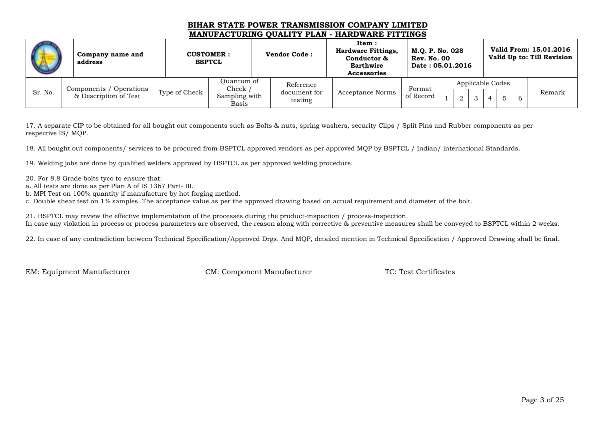|         | Company name and<br>address |               | <b>CUSTOMER:</b><br><b>BSPTCL</b> | <b>Vendor Code:</b>     | Item:<br><b>Hardware Fittings,</b><br>Conductor &<br>Earthwire<br>Accessories | M.O. P. No. 028<br><b>Rev. No. 00</b><br>Date: 05.01.2016 |  |  |                  | Valid From: 15.01.2016<br>Valid Up to: Till Revision |
|---------|-----------------------------|---------------|-----------------------------------|-------------------------|-------------------------------------------------------------------------------|-----------------------------------------------------------|--|--|------------------|------------------------------------------------------|
|         | Components / Operations     |               | Ouantum of<br>Check /             | Reference               |                                                                               | Format                                                    |  |  | Applicable Codes |                                                      |
| Sr. No. | & Description of Test       | Type of Check | Sampling with<br>Basis            | document for<br>testing | <b>Acceptance Norms</b>                                                       | of Record                                                 |  |  |                  | Remark                                               |

17. A separate CIP to be obtained for all bought out components such as Bolts & nuts, spring washers, security Clips / Split Pins and Rubber components as per respective IS/ MQP.

18. All bought out components/ services to be procured from BSPTCL approved vendors as per approved MQP by BSPTCL / Indian/ international Standards.

19. Welding jobs are done by qualified welders approved by BSPTCL as per approved welding procedure.

20. For 8.8 Grade bolts tyco to ensure that:

a. All tests are done as per Plan A of IS 1367 Part- III.

b. MPI Test on 100% quantity if manufacture by hot forging method.

c. Double shear test on 1% samples. The acceptance value as per the approved drawing based on actual requirement and diameter of the bolt.

21. BSPTCL may review the effective implementation of the processes during the product-inspection / process-inspection. In case any violation in process or process parameters are observed, the reason along with corrective & preventive measures shall be conveyed to BSPTCL within 2 weeks.

22. In case of any contradiction between Technical Specification/Approved Drgs. And MQP, detailed mention in Technical Specification / Approved Drawing shall be final.

EM: Equipment Manufacturer CM: Component Manufacturer TC: Test Certificates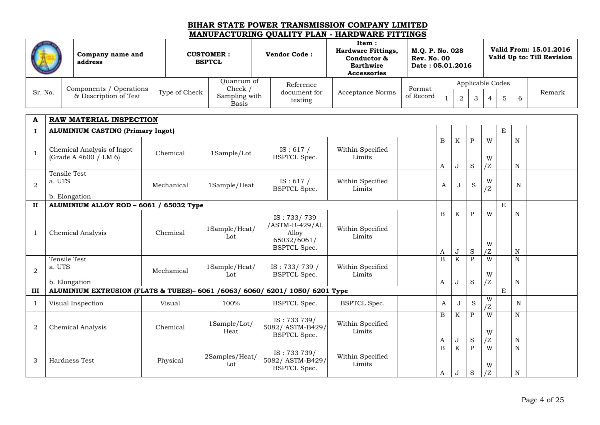|                |                        | Company name and<br>address                                                                   |               | <b>CUSTOMER:</b><br><b>BSPTCL</b>        | <b>Vendor Code:</b>                                                           | Item:<br><b>Hardware Fittings,</b><br>Conductor &<br>Earthwire<br><b>Accessories</b> | M.Q. P. No. 028<br><b>Rev. No. 00</b><br>Date: 05.01.2016 |                       |                  |                             |                           |             |                             | Valid From: 15.01.2016<br>Valid Up to: Till Revision |
|----------------|------------------------|-----------------------------------------------------------------------------------------------|---------------|------------------------------------------|-------------------------------------------------------------------------------|--------------------------------------------------------------------------------------|-----------------------------------------------------------|-----------------------|------------------|-----------------------------|---------------------------|-------------|-----------------------------|------------------------------------------------------|
|                |                        |                                                                                               |               | Quantum of                               | Reference                                                                     |                                                                                      |                                                           |                       |                  | Applicable Codes            |                           |             |                             |                                                      |
| Sr. No.        |                        | Components / Operations<br>& Description of Test                                              | Type of Check | Check /<br>Sampling with<br><b>Basis</b> | document for<br>testing                                                       | Acceptance Norms                                                                     | Format<br>of Record                                       | $\mathbf{1}$          | $\boldsymbol{2}$ | 3                           | $\overline{4}$            | 5           | 6                           | Remark                                               |
| A              |                        | RAW MATERIAL INSPECTION                                                                       |               |                                          |                                                                               |                                                                                      |                                                           |                       |                  |                             |                           |             |                             |                                                      |
| $\bf{I}$       |                        | <b>ALUMINIUM CASTING (Primary Ingot)</b>                                                      |               |                                          |                                                                               |                                                                                      |                                                           |                       |                  |                             |                           | $\mathbf E$ |                             |                                                      |
| $\mathbf{1}$   |                        | Chemical Analysis of Ingot<br>(Grade A 4600 / LM 6)                                           | Chemical      | 1Sample/Lot                              | IS: $617/$<br><b>BSPTCL Spec.</b>                                             | Within Specified<br>Limits                                                           |                                                           | B<br>A                | K<br>J           | ${\bf P}$<br>S              | W<br>W<br>$\overline{Z}$  |             | $\mathbf N$<br>N            |                                                      |
| $\overline{2}$ | Tensile Test<br>a. UTS | b. Elongation                                                                                 | Mechanical    | 1Sample/Heat                             | IS: 617 /<br><b>BSPTCL Spec.</b>                                              | Within Specified<br>Limits                                                           |                                                           | A                     | J                | S                           | W<br>$\overline{Z}$       |             | N                           |                                                      |
| $\mathbf{H}$   |                        | ALUMINIUM ALLOY ROD - 6061 / 65032 Type                                                       |               |                                          |                                                                               |                                                                                      |                                                           |                       |                  |                             |                           | E           |                             |                                                      |
| $\mathbf{1}$   |                        | Chemical Analysis                                                                             | Chemical      | 1Sample/Heat/<br>Lot                     | IS: 733/739<br>/ASTM-B-429/Al.<br>Alloy<br>65032/6061/<br><b>BSPTCL Spec.</b> | Within Specified<br>Limits                                                           |                                                           | B<br>A                | K<br>J           | $\mathbf{P}$<br>${\bf S}$   | W<br>W<br>$\overline{Z}$  |             | $\mathbf N$<br>N            |                                                      |
| $\overline{2}$ | Tensile Test<br>a. UTS |                                                                                               | Mechanical    | 1Sample/Heat/<br>Lot                     | IS: 733/739/<br><b>BSPTCL Spec.</b>                                           | Within Specified<br>Limits                                                           |                                                           | $\overline{B}$        | K                | $\mathbf{P}$<br>S           | W<br>W<br>/Z              |             | N<br>N                      |                                                      |
| III            |                        | b. Elongation<br>ALUMINIUM EXTRUSION (FLATS & TUBES)- 6061 /6063/ 6060/ 6201/ 1050/ 6201 Type |               |                                          |                                                                               |                                                                                      |                                                           | A                     | J                |                             |                           | $\mathbf E$ |                             |                                                      |
| 1              |                        | Visual Inspection                                                                             | Visual        | 100%                                     | <b>BSPTCL Spec.</b>                                                           | <b>BSPTCL Spec.</b>                                                                  |                                                           | A                     | J                | $\rm S$                     | W                         |             | $\mathbf N$                 |                                                      |
|                |                        |                                                                                               |               |                                          |                                                                               |                                                                                      |                                                           |                       |                  |                             | IZ                        |             |                             |                                                      |
| $\overline{2}$ |                        | Chemical Analysis                                                                             | Chemical      | 1Sample/Lot/<br>Heat                     | IS: 733 739/<br>5082/ASTM-B429/<br><b>BSPTCL Spec.</b>                        | Within Specified<br>Limits                                                           |                                                           | $\boldsymbol{B}$<br>A | K<br>J           | $\mathbf{P}$<br>$\mathbf S$ | W<br>W<br>/Z              |             | $\mathbf N$<br>$\, {\rm N}$ |                                                      |
| 3              |                        | Hardness Test                                                                                 | Physical      | 2Samples/Heat/<br>Lot                    | IS: 733 739/<br>5082/ASTM-B429/<br><b>BSPTCL Spec.</b>                        | Within Specified<br>Limits                                                           |                                                           | $\mathbf B$<br>A      | $\rm K$<br>J     | $\overline{P}$<br>S         | $\overline{W}$<br>W<br>/Z |             | $\mathbf N$<br>N            |                                                      |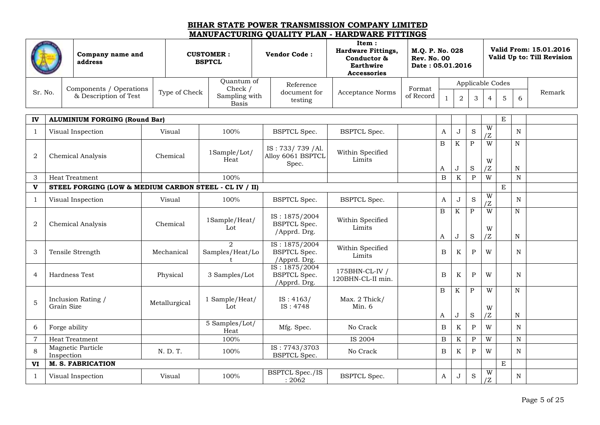|                |            | Company name and<br>address                            | <b>CUSTOMER:</b><br><b>BSPTCL</b> |               |                                                  | <b>Vendor Code:</b>                                  | Item:<br><b>Hardware Fittings,</b><br>Conductor &<br><b>Earthwire</b><br><b>Accessories</b> | M.Q. P. No. 028<br><b>Rev. No. 00</b><br>Date: 05.01.2016 |                   |                |                           |                          |             |                             | Valid From: 15.01.2016<br>Valid Up to: Till Revision |
|----------------|------------|--------------------------------------------------------|-----------------------------------|---------------|--------------------------------------------------|------------------------------------------------------|---------------------------------------------------------------------------------------------|-----------------------------------------------------------|-------------------|----------------|---------------------------|--------------------------|-------------|-----------------------------|------------------------------------------------------|
|                |            | Components / Operations                                |                                   |               | Quantum of<br>Check /                            | Reference                                            |                                                                                             | Format                                                    |                   |                |                           | Applicable Codes         |             |                             |                                                      |
| Sr. No.        |            | & Description of Test                                  |                                   | Type of Check | Sampling with<br>Basis                           | document for<br>testing                              | <b>Acceptance Norms</b>                                                                     | of Record                                                 | $\mathbf{1}$      | $\overline{2}$ | 3                         | $\overline{4}$           | 5           | 6                           | Remark                                               |
| IV             |            | <b>ALUMINIUM FORGING (Round Bar)</b>                   |                                   |               |                                                  |                                                      |                                                                                             |                                                           |                   |                |                           |                          | E           |                             |                                                      |
| $\mathbf{1}$   |            | Visual Inspection                                      |                                   | Visual        | 100%                                             | <b>BSPTCL Spec.</b>                                  | <b>BSPTCL Spec.</b>                                                                         |                                                           | A                 | J              | S                         | W<br>'Z                  |             | N                           |                                                      |
| $\overline{2}$ |            | Chemical Analysis                                      |                                   | Chemical      | 1Sample/Lot/<br>Heat                             | IS: 733/739 / Al.<br>Alloy 6061 BSPTCL<br>Spec.      | Within Specified<br>Limits                                                                  |                                                           | $\, {\bf B}$      | $\rm K$        | $\mathbf P$               | $\overline{W}$<br>W      |             | $\mathbf N$                 |                                                      |
| 3              |            | <b>Heat Treatment</b>                                  |                                   |               | 100%                                             |                                                      |                                                                                             |                                                           | A<br>$\mathbf B$  | J<br>$\rm K$   | $\rm S$<br>$\overline{P}$ | $\overline{Z}$<br>W      |             | $\, {\rm N}$<br>$\mathbf N$ |                                                      |
| $\mathbf{v}$   |            | STEEL FORGING (LOW & MEDIUM CARBON STEEL - CL IV / II) |                                   |               |                                                  |                                                      |                                                                                             |                                                           |                   |                |                           |                          | E           |                             |                                                      |
| 1              |            | Visual Inspection                                      |                                   | Visual        | 100%                                             | <b>BSPTCL Spec.</b>                                  | <b>BSPTCL Spec.</b>                                                                         |                                                           | A                 | $\bf J$        | S                         | W<br>ΙZ                  |             | N                           |                                                      |
| $\overline{2}$ |            | Chemical Analysis                                      |                                   | Chemical      | 1Sample/Heat/<br>Lot                             | IS: 1875/2004<br><b>BSPTCL</b> Spec.<br>/Apprd. Drg. | Within Specified<br>Limits                                                                  |                                                           | $\mathbf{B}$<br>A | K<br>J         | $\mathbf{P}$<br>S         | W<br>W<br>$\overline{Z}$ |             | ${\bf N}$<br>N              |                                                      |
| 3              |            | Tensile Strength                                       |                                   | Mechanical    | $\mathfrak{D}_{\mathfrak{p}}$<br>Samples/Heat/Lo | IS: 1875/2004<br><b>BSPTCL</b> Spec.<br>/Apprd. Drg. | Within Specified<br>Limits                                                                  |                                                           | B                 | K              | $\mathbf{P}$              | W                        |             | N                           |                                                      |
| $\overline{4}$ |            | Hardness Test                                          |                                   | Physical      | 3 Samples/Lot                                    | IS: 1875/2004<br><b>BSPTCL</b> Spec.<br>/Apprd. Drg. | 175BHN-CL-IV /<br>120BHN-CL-II min.                                                         |                                                           | B                 | K              | $\mathbf P$               | W                        |             | N                           |                                                      |
| $\overline{5}$ | Grain Size | Inclusion Rating /                                     |                                   | Metallurgical | 1 Sample/Heat/<br>Lot                            | IS: 4163/<br>IS: 4748                                | Max. 2 Thick/<br>Min. 6                                                                     |                                                           | B<br>A            | K<br>J         | $\mathbf{P}$<br>S         | W<br>W<br>/Z             |             | N<br>N                      |                                                      |
| 6              |            | Forge ability                                          |                                   |               | 5 Samples/Lot/<br>Heat                           | Mfg. Spec.                                           | No Crack                                                                                    |                                                           | $\, {\bf B}$      | $\rm K$        | $\mathbf{P}$              | W                        |             | N                           |                                                      |
| $\overline{7}$ |            | <b>Heat Treatment</b>                                  |                                   |               | 100%                                             |                                                      | IS 2004                                                                                     |                                                           | $\mathbf B$       | $\rm K$        | $\overline{P}$            | W                        |             | $\mathbf N$                 |                                                      |
| 8              | Inspection | Magnetic Particle                                      |                                   | N. D. T.      | 100%                                             | IS: 7743/3703<br><b>BSPTCL Spec.</b>                 | No Crack                                                                                    |                                                           | $\, {\bf B}$      | K              | $\mathbf{P}$              | W                        |             | N                           |                                                      |
| VI             |            | <b>M. S. FABRICATION</b>                               |                                   |               |                                                  |                                                      |                                                                                             |                                                           |                   |                |                           |                          | $\mathbf E$ |                             |                                                      |
| 1              |            | Visual Inspection                                      |                                   | Visual        | 100%                                             | <b>BSPTCL Spec./IS</b><br>: 2062                     | <b>BSPTCL Spec.</b>                                                                         |                                                           | A                 | J              | S                         | W<br>/Z                  |             | N                           |                                                      |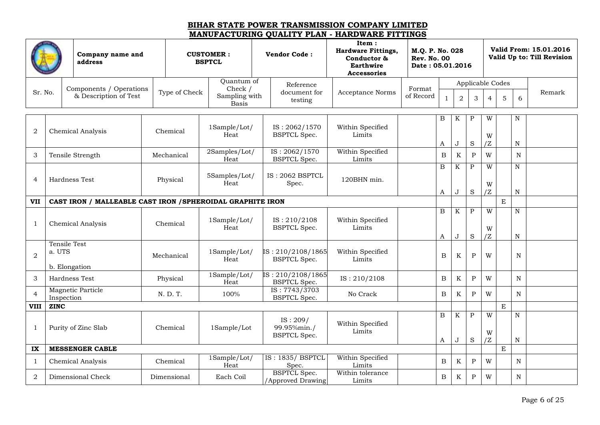|                  |             | Company name and<br>address                               |               | <b>CUSTOMER:</b><br><b>BSPTCL</b>        | <b>Vendor Code:</b>                            | Item:<br><b>Hardware Fittings,</b><br>Conductor &<br>Earthwire<br><b>Accessories</b> | M.Q. P. No. 028<br><b>Rev. No. 00</b><br>Date: 05.01.2016 |                   |                |                         |                  |   |                        | Valid From: 15.01.2016<br>Valid Up to: Till Revision |
|------------------|-------------|-----------------------------------------------------------|---------------|------------------------------------------|------------------------------------------------|--------------------------------------------------------------------------------------|-----------------------------------------------------------|-------------------|----------------|-------------------------|------------------|---|------------------------|------------------------------------------------------|
|                  |             |                                                           |               | Quantum of                               | Reference                                      |                                                                                      |                                                           |                   |                |                         | Applicable Codes |   |                        |                                                      |
| Sr. No.          |             | Components / Operations<br>& Description of Test          | Type of Check | Check /<br>Sampling with<br><b>Basis</b> | document for<br>testing                        | <b>Acceptance Norms</b>                                                              | Format<br>of Record                                       | $\mathbf{1}$      | $\overline{a}$ | 3                       | $\overline{4}$   | 5 | 6                      | Remark                                               |
|                  |             |                                                           |               |                                          |                                                |                                                                                      |                                                           | B                 | K              | $\mathbf P$             | W                |   | $\mathbf N$            |                                                      |
| $\boldsymbol{2}$ |             | Chemical Analysis                                         | Chemical      | 1Sample/Lot/<br>Heat                     | IS: 2062/1570<br><b>BSPTCL Spec.</b>           | Within Specified<br>Limits                                                           |                                                           | A                 | J              | $\rm S$                 | W<br>/Z          |   | N                      |                                                      |
|                  |             |                                                           |               | 2Samples/Lot/                            | IS: 2062/1570                                  | Within Specified                                                                     |                                                           |                   |                |                         |                  |   |                        |                                                      |
| 3                |             | Tensile Strength                                          | Mechanical    | Heat                                     | <b>BSPTCL Spec.</b>                            | Limits                                                                               |                                                           | B                 | K              | $\mathbf{P}$            | W                |   | N                      |                                                      |
| $\overline{4}$   |             | Hardness Test                                             | Physical      | 5Samples/Lot/<br>Heat                    | IS: 2062 BSPTCL<br>Spec.                       | 120BHN min.                                                                          |                                                           | $\boldsymbol{B}$  | K              | $\, {\bf P}$            | W                |   | ${\bf N}$              |                                                      |
|                  |             |                                                           |               |                                          |                                                |                                                                                      |                                                           | A                 | J              | $\rm S$                 | W<br>/Z          |   | $\mathbf N$            |                                                      |
| <b>VII</b>       |             | CAST IRON / MALLEABLE CAST IRON /SPHEROIDAL GRAPHITE IRON |               |                                          |                                                |                                                                                      |                                                           |                   |                |                         |                  | E |                        |                                                      |
|                  |             |                                                           |               |                                          |                                                |                                                                                      |                                                           | B                 | K              | $\, {\bf P}$            | W                |   | ${\bf N}$              |                                                      |
| $\mathbf{1}$     |             | Chemical Analysis                                         | Chemical      | 1Sample/Lot/<br>Heat                     | IS: 210/2108<br><b>BSPTCL</b> Spec.            | Within Specified<br>Limits                                                           |                                                           | A                 | J              | $\rm S$                 | W<br>/Z          |   | ${\bf N}$              |                                                      |
| $\overline{2}$   | a. UTS      | Tensile Test                                              | Mechanical    | 1Sample/Lot/<br>Heat                     | IS: 210/2108/1865<br><b>BSPTCL Spec.</b>       | Within Specified<br>Limits                                                           |                                                           | B                 | K              | $\mathbf{P}$            | W                |   | N                      |                                                      |
|                  |             | b. Elongation                                             |               | 1Sample/Lot/                             | IS: 210/2108/1865                              |                                                                                      |                                                           |                   |                |                         |                  |   |                        |                                                      |
| 3                |             | Hardness Test                                             | Physical      | Heat                                     | <b>BSPTCL</b> Spec.                            | IS: 210/2108                                                                         |                                                           | $\, {\bf B}$      | $\rm K$        | $\, {\bf P}$            | W                |   | N                      |                                                      |
| $\overline{4}$   | Inspection  | Magnetic Particle                                         | N. D. T.      | 100%                                     | IS: 7743/3703<br><b>BSPTCL Spec.</b>           | No Crack                                                                             |                                                           | B                 | $\mathbf K$    | $\mathbf P$             | W                |   | N                      |                                                      |
| <b>VIII</b>      | <b>ZINC</b> |                                                           |               |                                          |                                                |                                                                                      |                                                           |                   |                |                         |                  | E |                        |                                                      |
| $\mathbf{1}$     |             | Purity of Zinc Slab                                       | Chemical      | 1Sample/Lot                              | IS: 209/<br>99.95%min./<br><b>BSPTCL Spec.</b> | Within Specified<br>Limits                                                           |                                                           | $\, {\bf B}$<br>A | K<br>J         | $\, {\bf P}$<br>$\rm S$ | W<br>W<br>/Z     |   | ${\bf N}$<br>${\bf N}$ |                                                      |
| IX               |             | <b>MESSENGER CABLE</b>                                    |               |                                          |                                                |                                                                                      |                                                           |                   |                |                         |                  | E |                        |                                                      |
| $\mathbf{1}$     |             | Chemical Analysis                                         | Chemical      | 1Sample/Lot/<br>Heat                     | <b>IS: 1835/ BSPTCL</b><br>Spec.               | Within Specified<br>Limits                                                           |                                                           | $\, {\bf B}$      | K              | $\, {\bf P}$            | W                |   | $\mathbf N$            |                                                      |
| 2                |             | Dimensional Check                                         | Dimensional   | Each Coil                                | <b>BSPTCL</b> Spec.<br>/Approved Drawing       | Within tolerance<br>Limits                                                           |                                                           | B                 | K              | $\mathbf P$             | W                |   | N                      |                                                      |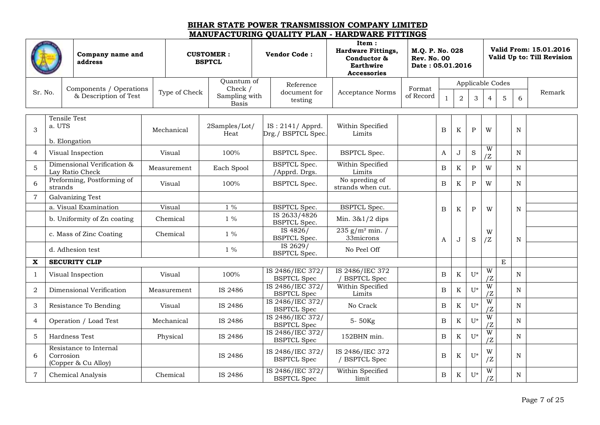|                           |           | Company name and<br>address<br>Components / Operations |  |               | <b>CUSTOMER:</b><br><b>BSPTCL</b> | <b>Vendor Code:</b>                           | Item:<br><b>Hardware Fittings,</b><br>Conductor &<br>Earthwire<br><b>Accessories</b> | M.Q. P. No. 028<br><b>Rev. No. 00</b><br>Date: 05.01.2016 |                  |                |              |                      |             |             | Valid From: 15.01.2016<br>Valid Up to: Till Revision |
|---------------------------|-----------|--------------------------------------------------------|--|---------------|-----------------------------------|-----------------------------------------------|--------------------------------------------------------------------------------------|-----------------------------------------------------------|------------------|----------------|--------------|----------------------|-------------|-------------|------------------------------------------------------|
|                           |           |                                                        |  |               | Quantum of                        | Reference                                     |                                                                                      |                                                           |                  |                |              | Applicable Codes     |             |             |                                                      |
| Sr. No.                   |           | & Description of Test                                  |  | Type of Check | Check /<br>Sampling with<br>Basis | document for<br>testing                       | <b>Acceptance Norms</b>                                                              | Format<br>of Record                                       | $\mathbf{1}$     | $\overline{a}$ | 3            | $\overline{4}$       | 5           | 6           | Remark                                               |
|                           |           | <b>Tensile Test</b>                                    |  |               |                                   |                                               |                                                                                      |                                                           |                  |                |              |                      |             |             |                                                      |
| 3                         | a. UTS    | b. Elongation                                          |  | Mechanical    | 2Samples/Lot/<br>Heat             | IS: 2141/ Apprd.<br>Drg./ BSPTCL Spec.        | Within Specified<br>Limits                                                           |                                                           | $\boldsymbol{B}$ | K              | $\, {\bf P}$ | W                    |             | $\mathbf N$ |                                                      |
| $\overline{4}$            |           | Visual Inspection                                      |  | Visual        | 100%                              | <b>BSPTCL Spec.</b>                           | <b>BSPTCL Spec.</b>                                                                  |                                                           | A                | J              | $\mathbf S$  | W<br>/Z              |             | N           |                                                      |
| $\mathbf 5$               |           | Dimensional Verification &<br>Lay Ratio Check          |  | Measurement   | Each Spool                        | <b>BSPTCL Spec.</b><br>/Apprd. Drgs.          | Within Specified<br>Limits                                                           |                                                           | B                | $\rm K$        | $\, {\bf P}$ | W                    |             | N           |                                                      |
| 6                         | strands   | Preforming, Postforming of                             |  | Visual        | 100%                              | <b>BSPTCL Spec.</b>                           | No spreding of<br>strands when cut.                                                  |                                                           | $\boldsymbol{B}$ | $\rm K$        | $\mathbf{P}$ | W                    |             | N           |                                                      |
| $\overline{7}$            |           | Galvanizing Test                                       |  |               |                                   |                                               |                                                                                      |                                                           |                  |                |              |                      |             |             |                                                      |
|                           |           | a. Visual Examination                                  |  | Visual        | $1\%$                             | <b>BSPTCL Spec.</b>                           | <b>BSPTCL Spec.</b>                                                                  |                                                           | B                | K              | $\mathbf{P}$ | W                    |             | $\mathbf N$ |                                                      |
|                           |           | b. Uniformity of Zn coating                            |  | Chemical      | $1\%$                             | IS 2633/4826<br><b>BSPTCL</b> Spec.           | Min. 3&1/2 dips                                                                      |                                                           |                  |                |              |                      |             |             |                                                      |
|                           |           | c. Mass of Zinc Coating                                |  | Chemical      | $1\%$                             | IS $\overline{4826}$ /<br><b>BSPTCL Spec.</b> | $235$ g/m <sup>2</sup> min. /<br>33microns                                           |                                                           | A                | J              | S            | W<br>/Z              |             | N           |                                                      |
|                           |           | d. Adhesion test                                       |  |               | $1\%$                             | IS 2629/<br><b>BSPTCL Spec.</b>               | No Peel Off                                                                          |                                                           |                  |                |              |                      |             |             |                                                      |
| $\boldsymbol{\mathrm{X}}$ |           | <b>SECURITY CLIP</b>                                   |  |               |                                   |                                               |                                                                                      |                                                           |                  |                |              |                      | $\mathbf E$ |             |                                                      |
| 1                         |           | Visual Inspection                                      |  | Visual        | 100%                              | IS 2486/IEC 372/<br><b>BSPTCL Spec</b>        | IS 2486/IEC 372<br><b>BSPTCL Spec</b>                                                |                                                           | B                | K              | $U^*$        | W<br>/Z              |             | $\mathbf N$ |                                                      |
| 2                         |           | Dimensional Verification                               |  | Measurement   | IS 2486                           | IS 2486/IEC 372/<br><b>BSPTCL Spec</b>        | Within Specified<br>Limits                                                           |                                                           | $\boldsymbol{B}$ | K              | $U^*$        | W<br>/Z              |             | $\mathbf N$ |                                                      |
| 3                         |           | Resistance To Bending                                  |  | Visual        | IS 2486                           | IS 2486/IEC 372/<br><b>BSPTCL Spec</b>        | No Crack                                                                             |                                                           | $\, {\bf B}$     | K              | $U^*$        | $\overline{W}$<br>/Z |             | N           |                                                      |
| $\overline{4}$            |           | Operation / Load Test                                  |  | Mechanical    | IS 2486                           | IS 2486/IEC 372/<br><b>BSPTCL Spec</b>        | 5-50Kg                                                                               |                                                           | B                | K              | U*           | W<br>/Z              |             | N           |                                                      |
| 5                         |           | Hardness Test                                          |  | Physical      | IS 2486                           | IS 2486/IEC 372/<br><b>BSPTCL Spec</b>        | 152BHN min.                                                                          |                                                           | B                | K              | $U^*$        | $\overline{W}$<br>/Z |             | N           |                                                      |
| 6                         | Corrosion | Resistance to Internal<br>(Copper & Cu Alloy)          |  |               | IS 2486                           | IS 2486/IEC 372/<br><b>BSPTCL Spec</b>        | IS 2486/IEC 372<br>/ BSPTCL Spec                                                     |                                                           | B                | K              | $U^*$        | W<br>/Z              |             | N           |                                                      |
| $\overline{7}$            |           | <b>Chemical Analysis</b>                               |  | Chemical      | IS 2486                           | IS 2486/IEC 372/<br><b>BSPTCL Spec</b>        | Within Specified<br>limit                                                            |                                                           | B                | K              | $U^*$        | W<br>IZ              |             | N           |                                                      |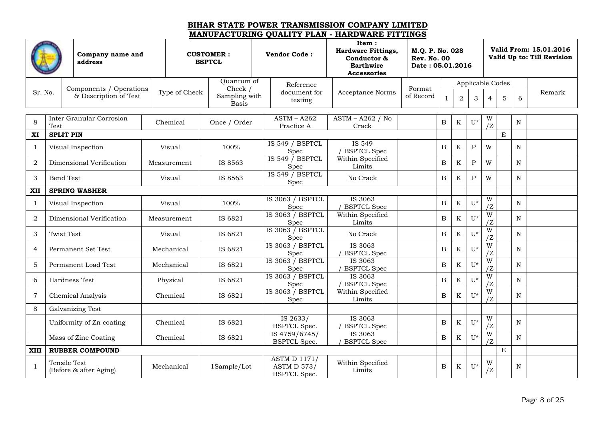|                |                   | Company name and<br>address                      |               | <b>CUSTOMER:</b><br><b>BSPTCL</b>        | <b>Vendor Code:</b>                                              | Item:<br><b>Hardware Fittings,</b><br>Conductor &<br><b>Earthwire</b><br><b>Accessories</b> | M.Q. P. No. 028<br><b>Rev. No. 00</b><br>Date: 05.01.2016 |              |                |              |                               |             |             | Valid From: 15.01.2016<br>Valid Up to: Till Revision |
|----------------|-------------------|--------------------------------------------------|---------------|------------------------------------------|------------------------------------------------------------------|---------------------------------------------------------------------------------------------|-----------------------------------------------------------|--------------|----------------|--------------|-------------------------------|-------------|-------------|------------------------------------------------------|
|                |                   |                                                  |               | Quantum of                               | Reference                                                        |                                                                                             |                                                           |              |                |              | Applicable Codes              |             |             |                                                      |
| Sr. No.        |                   | Components / Operations<br>& Description of Test | Type of Check | Check /<br>Sampling with<br><b>Basis</b> | document for<br>testing                                          | Acceptance Norms                                                                            | Format<br>of Record                                       | $\mathbf{1}$ | $\overline{2}$ | 3            | $\overline{4}$                | 5           | 6           | Remark                                               |
| 8              |                   | Inter Granular Corrosion                         | Chemical      | Once / Order                             | $ASTM - A262$                                                    | $ASTM - A262 / No$                                                                          |                                                           | $\, {\bf B}$ | K              | $U^*$        | W                             |             | N           |                                                      |
|                | Test              |                                                  |               |                                          | Practice A                                                       | Crack                                                                                       |                                                           |              |                |              | /Z                            |             |             |                                                      |
| XI             | <b>SPLIT PIN</b>  |                                                  |               |                                          |                                                                  |                                                                                             |                                                           |              |                |              |                               | $\mathbf E$ |             |                                                      |
| 1              |                   | Visual Inspection                                | Visual        | 100%                                     | IS 549 / BSPTCL<br>Spec                                          | IS 549<br><b>BSPTCL Spec</b>                                                                |                                                           | $\, {\bf B}$ | $\rm K$        | $\mathbf P$  | W                             |             | N           |                                                      |
| $\overline{2}$ |                   | Dimensional Verification                         | Measurement   | IS 8563                                  | IS 549 / BSPTCL<br>Spec                                          | Within Specified<br>Limits                                                                  |                                                           | $\, {\bf B}$ | $\rm K$        | $\, {\bf P}$ | W                             |             | N           |                                                      |
| 3              | Bend Test         |                                                  | Visual        | IS 8563                                  | IS 549 / BSPTCL<br>Spec                                          | No Crack                                                                                    |                                                           | $\, {\bf B}$ | K              | $\mathbf{P}$ | W                             |             | N           |                                                      |
| XII            |                   | <b>SPRING WASHER</b>                             |               |                                          |                                                                  |                                                                                             |                                                           |              |                |              |                               |             |             |                                                      |
| 1              |                   | Visual Inspection                                | Visual        | 100%                                     | IS 3063 / BSPTCL<br>Spec                                         | IS 3063<br><b>BSPTCL Spec</b>                                                               |                                                           | $\, {\bf B}$ | $\rm K$        | $U^*$        | W<br>/Z                       |             | N           |                                                      |
| $\overline{2}$ |                   | Dimensional Verification                         | Measurement   | IS 6821                                  | IS 3063 / BSPTCL<br>Spec                                         | Within Specified<br>Limits                                                                  |                                                           | $\, {\bf B}$ | $\rm K$        | $U^*$        | W                             |             | $\mathbf N$ |                                                      |
| 3              | <b>Twist Test</b> |                                                  | Visual        | IS 6821                                  | IS 3063 / BSPTCL<br>Spec                                         | No Crack                                                                                    |                                                           | $\, {\bf B}$ | K              | $U^*$        | $\overline{\mathbf{W}}$<br>'Z |             | N           |                                                      |
| $\overline{4}$ |                   | Permanent Set Test                               | Mechanical    | IS 6821                                  | IS 3063 / BSPTCL<br>Spec                                         | IS 3063<br><b>BSPTCL Spec</b>                                                               |                                                           | $\, {\bf B}$ | $\rm K$        | $U^*$        | W<br>/Z                       |             | N           |                                                      |
| 5              |                   | Permanent Load Test                              | Mechanical    | IS 6821                                  | IS 3063 / BSPTCL<br>Spec                                         | IS 3063<br><b>BSPTCL Spec</b>                                                               |                                                           | $\, {\bf B}$ | $\rm K$        | $U^*$        | W<br>/Z                       |             | N           |                                                      |
| 6              |                   | Hardness Test                                    | Physical      | IS 6821                                  | IS 3063 / BSPTCL<br>Spec                                         | IS 3063<br>/ BSPTCL Spec                                                                    |                                                           | B            | K              | $U^*$        | W<br>/Z                       |             | N           |                                                      |
| $\overline{7}$ |                   | <b>Chemical Analysis</b>                         | Chemical      | IS 6821                                  | IS 3063 / BSPTCL<br>Spec                                         | Within Specified<br>Limits                                                                  |                                                           | $\, {\bf B}$ | $\rm K$        | $U^*$        | W                             |             | $\mathbf N$ |                                                      |
| 8              |                   | Galvanizing Test                                 |               |                                          |                                                                  |                                                                                             |                                                           |              |                |              |                               |             |             |                                                      |
|                |                   | Uniformity of Zn coating                         | Chemical      | IS 6821                                  | IS 2633/<br><b>BSPTCL Spec.</b>                                  | IS 3063<br><b>BSPTCL Spec</b>                                                               |                                                           | $\, {\bf B}$ | $\rm K$        | $U^*$        | W<br>/Z                       |             | $\mathbf N$ |                                                      |
|                |                   | Mass of Zinc Coating                             | Chemical      | IS 6821                                  | IS 4759/6745/<br><b>BSPTCL Spec.</b>                             | IS 3063<br><b>BSPTCL Spec</b>                                                               |                                                           | $\, {\bf B}$ | K              | $U^*$        | $\overline{\mathbf{W}}$<br>/Z |             | N           |                                                      |
| <b>XIII</b>    |                   | <b>RUBBER COMPOUND</b>                           |               |                                          |                                                                  |                                                                                             |                                                           |              |                |              |                               | $\mathbf E$ |             |                                                      |
| $\mathbf{1}$   |                   | <b>Tensile Test</b><br>(Before & after Aging)    | Mechanical    | 1Sample/Lot                              | <b>ASTM D 1171/</b><br><b>ASTM D 573/</b><br><b>BSPTCL Spec.</b> | Within Specified<br>Limits                                                                  |                                                           | B            | K              | $U^*$        | W<br>/2                       |             | $\mathbf N$ |                                                      |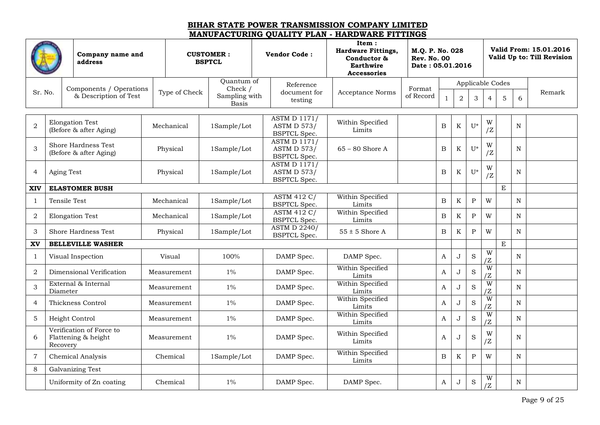|                |            | <b>CUSTOMER:</b><br>Company name and<br><b>BSPTCL</b><br>address |  |               |                                          | <b>Vendor Code:</b>                                              | Item:<br><b>Hardware Fittings,</b><br>Conductor &<br><b>Earthwire</b><br><b>Accessories</b> | M.Q. P. No. 028<br><b>Rev. No. 00</b><br>Date: 05.01.2016 |              |                |                  |                      |             |             | Valid From: 15.01.2016<br>Valid Up to: Till Revision |
|----------------|------------|------------------------------------------------------------------|--|---------------|------------------------------------------|------------------------------------------------------------------|---------------------------------------------------------------------------------------------|-----------------------------------------------------------|--------------|----------------|------------------|----------------------|-------------|-------------|------------------------------------------------------|
|                |            |                                                                  |  |               | Quantum of                               | Reference                                                        |                                                                                             |                                                           |              |                | Applicable Codes |                      |             |             |                                                      |
| Sr. No.        |            | Components / Operations<br>& Description of Test                 |  | Type of Check | Check /<br>Sampling with<br><b>Basis</b> | document for<br>testing                                          | <b>Acceptance Norms</b>                                                                     | Format<br>of Record                                       |              | $\overline{2}$ | 3                | $\overline{4}$       | 5           | 6           | Remark                                               |
| $\overline{2}$ |            | <b>Elongation Test</b><br>(Before & after Aging)                 |  | Mechanical    | 1Sample/Lot                              | <b>ASTM D 1171/</b><br><b>ASTM D 573/</b><br><b>BSPTCL Spec.</b> | Within Specified<br>Limits                                                                  |                                                           | $\, {\bf B}$ | K              | $U^*$            | W<br>/2              |             | N           |                                                      |
| $\mathfrak{Z}$ |            | Shore Hardness Test<br>(Before & after Aging)                    |  | Physical      | 1Sample/Lot                              | <b>ASTM D 1171/</b><br><b>ASTM D 573/</b><br><b>BSPTCL Spec.</b> | $65 - 80$ Shore A                                                                           |                                                           | $\mathbf B$  | $\rm K$        | U*               | W<br>/Z              |             | N           |                                                      |
| $\overline{4}$ | Aging Test |                                                                  |  | Physical      | 1Sample/Lot                              | <b>ASTM D 1171/</b><br><b>ASTM D 573/</b><br><b>BSPTCL Spec.</b> |                                                                                             |                                                           | B            | K              | U*               | W<br>$\overline{Z}$  |             | N           |                                                      |
| <b>XIV</b>     |            | <b>ELASTOMER BUSH</b>                                            |  |               |                                          |                                                                  |                                                                                             |                                                           |              |                |                  |                      | $\mathbf E$ |             |                                                      |
| $\mathbf{1}$   |            | Tensile Test                                                     |  | Mechanical    | 1Sample/Lot                              | <b>ASTM 412 C/</b><br><b>BSPTCL Spec.</b>                        | Within Specified<br>Limits                                                                  |                                                           | $\, {\bf B}$ | $\rm K$        | ${\bf P}$        | W                    |             | $\mathbf N$ |                                                      |
| 2              |            | <b>Elongation Test</b>                                           |  | Mechanical    | 1Sample/Lot                              | <b>ASTM 412 C/</b><br><b>BSPTCL Spec.</b>                        | Within Specified<br>Limits                                                                  |                                                           | B            | K              | ${\bf P}$        | W                    |             | N           |                                                      |
| 3              |            | Shore Hardness Test                                              |  | Physical      | 1Sample/Lot                              | <b>ASTM D 2240/</b><br><b>BSPTCL Spec.</b>                       | $55 \pm 5$ Shore A                                                                          |                                                           | B            | $\rm K$        | $\mathbf{P}$     | W                    |             | N           |                                                      |
| XV             |            | <b>BELLEVILLE WASHER</b>                                         |  |               |                                          |                                                                  |                                                                                             |                                                           |              |                |                  |                      | $\mathbf E$ |             |                                                      |
| $\mathbf{1}$   |            | Visual Inspection                                                |  | Visual        | 100%                                     | DAMP Spec.                                                       | DAMP Spec.                                                                                  |                                                           | $\mathbf{A}$ | J              | S                | $\overline{W}$<br>/Z |             | N           |                                                      |
| $\overline{2}$ |            | Dimensional Verification                                         |  | Measurement   | $1\%$                                    | DAMP Spec.                                                       | Within Specified<br>Limits                                                                  |                                                           | $\mathbf{A}$ | J              | S                | $\overline{W}$<br>/Z |             | N           |                                                      |
| 3              | Diameter   | External & Internal                                              |  | Measurement   | $1\%$                                    | DAMP Spec.                                                       | Within Specified<br>Limits                                                                  |                                                           | A            | J              | S                | W<br>ΙZ              |             | N           |                                                      |
| $\overline{4}$ |            | Thickness Control                                                |  | Measurement   | $1\%$                                    | DAMP Spec.                                                       | Within Specified<br>Limits                                                                  |                                                           | A            | J              | S                | W<br>/Z              |             | N           |                                                      |
| $\overline{5}$ |            | Height Control                                                   |  | Measurement   | $1\%$                                    | DAMP Spec.                                                       | Within Specified<br>Limits                                                                  |                                                           | A            | J              | S                | W<br>ΙZ              |             | N           |                                                      |
| 6              | Recovery   | Verification of Force to<br>Flattening & height                  |  | Measurement   | $1\%$                                    | DAMP Spec.                                                       | Within Specified<br>Limits                                                                  |                                                           | A            | J              | S                | W<br>$\overline{Z}$  |             | N           |                                                      |
| $\overline{7}$ |            | <b>Chemical Analysis</b>                                         |  | Chemical      | 1Sample/Lot                              | DAMP Spec.                                                       | Within Specified<br>Limits                                                                  |                                                           | B            | $\rm K$        | ${\bf P}$        | W                    |             | N           |                                                      |
| 8              |            | Galvanizing Test                                                 |  |               |                                          |                                                                  |                                                                                             |                                                           |              |                |                  |                      |             |             |                                                      |
|                |            | Uniformity of Zn coating                                         |  | Chemical      | $1\%$                                    | DAMP Spec.                                                       | DAMP Spec.                                                                                  |                                                           | A            | J              | $\rm S$          | W<br>Z               |             | N           |                                                      |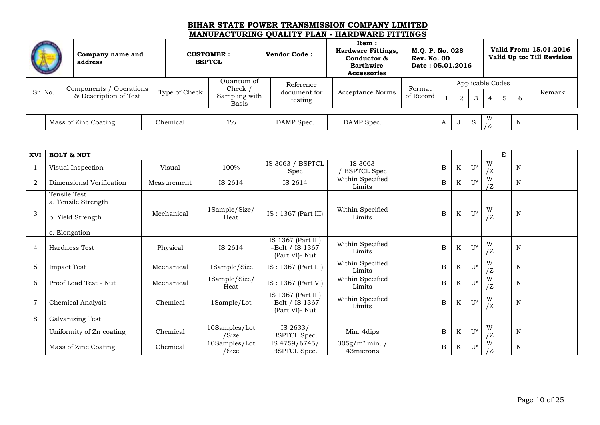|         | Company name and<br>address                      |               | <b>CUSTOMER:</b><br><b>BSPTCL</b>               | <b>Vendor Code:</b>                  | Item:<br><b>Hardware Fittings,</b><br>Conductor &<br>Earthwire<br><b>Accessories</b> | M.O. P. No. 028<br><b>Rev. No. 00</b><br>Date: 05.01.2016 |              |                |   |   |                       |             | Valid From: 15.01.2016<br>Valid Up to: Till Revision |
|---------|--------------------------------------------------|---------------|-------------------------------------------------|--------------------------------------|--------------------------------------------------------------------------------------|-----------------------------------------------------------|--------------|----------------|---|---|-----------------------|-------------|------------------------------------------------------|
| Sr. No. | Components / Operations<br>& Description of Test | Type of Check | Ouantum of<br>Check /<br>Sampling with<br>Basis | Reference<br>document for<br>testing | <b>Acceptance Norms</b>                                                              | Format<br>of Record                                       |              | $\overline{2}$ | 3 |   | Applicable Codes<br>5 |             | Remark                                               |
|         | Mass of Zinc Coating                             | Chemical      | $1\%$                                           | DAMP Spec.                           | DAMP Spec.                                                                           |                                                           | $\mathbf{L}$ |                | S | W |                       | $\mathbf N$ |                                                      |

| <b>XVI</b>     | <b>BOLT &amp; NUT</b>                                    |             |                         |                                                           |                                |                |   |       |         | E |   |  |
|----------------|----------------------------------------------------------|-------------|-------------------------|-----------------------------------------------------------|--------------------------------|----------------|---|-------|---------|---|---|--|
|                | Visual Inspection                                        | Visual      | 100%                    | IS 3063 / BSPTCL<br>Spec                                  | IS 3063<br><b>BSPTCL Spec</b>  | B              | K | $U^*$ | W<br>/Z |   | N |  |
| $\overline{2}$ | Dimensional Verification                                 | Measurement | IS 2614                 | IS 2614                                                   | Within Specified<br>Limits     | B              | K | $U^*$ | W<br>/Z |   | N |  |
| 3              | Tensile Test<br>a. Tensile Strength<br>b. Yield Strength | Mechanical  | 1Sample/Size/<br>Heat   | $IS: 1367$ (Part III)                                     | Within Specified<br>Limits     | B              | K | $U^*$ | W<br>/Z |   | N |  |
|                | c. Elongation                                            |             |                         |                                                           |                                |                |   |       |         |   |   |  |
| $\overline{4}$ | Hardness Test                                            | Physical    | IS 2614                 | IS 1367 (Part III)<br>$-Bolt / IS 1367$<br>(Part VI)- Nut | Within Specified<br>Limits     | B              | K | $U^*$ | W<br>/Z |   | N |  |
| 5              | <b>Impact Test</b>                                       | Mechanical  | 1Sample/Size            | $IS: 1367$ (Part III)                                     | Within Specified<br>Limits     | B              | K | $U^*$ | W<br>/Z |   | N |  |
| 6              | Proof Load Test - Nut                                    | Mechanical  | 1Sample/Size/<br>Heat   | IS: 1367 (Part VI)                                        | Within Specified<br>Limits     | $\overline{B}$ | K | $U^*$ | W<br>/Z |   | N |  |
| $\overline{7}$ | <b>Chemical Analysis</b>                                 | Chemical    | 1Sample/Lot             | IS 1367 (Part III)<br>$-Bolt / IS 1367$<br>(Part VI)- Nut | Within Specified<br>Limits     | B              | K | $U^*$ | W<br>/Z |   | N |  |
| 8              | Galvanizing Test                                         |             |                         |                                                           |                                |                |   |       |         |   |   |  |
|                | Uniformity of Zn coating                                 | Chemical    | 10Samples/Lot<br>/ Size | IS 2633/<br><b>BSPTCL Spec.</b>                           | Min. 4dips                     | B              | K | $U^*$ | W<br>/Z |   | N |  |
|                | Mass of Zinc Coating                                     | Chemical    | 10Samples/Lot<br>/ Size | IS 4759/6745/<br><b>BSPTCL Spec.</b>                      | $305g/m^2$ min. /<br>43microns | B              | K | $U^*$ | W<br>1Z |   | N |  |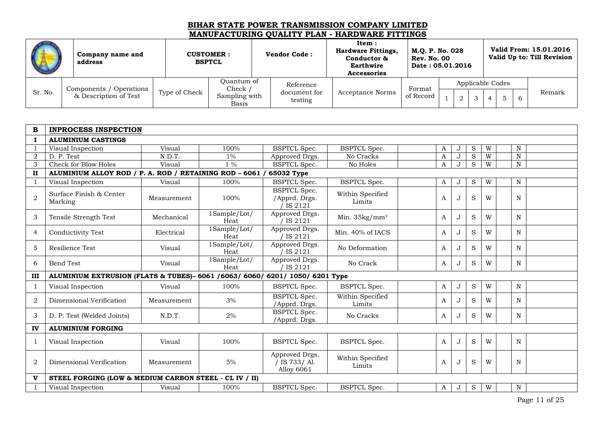|         | Company name and<br>address |               | <b>CUSTOMER:</b><br><b>BSPTCL</b> | <b>Vendor Code:</b>     | Item:<br><b>Hardware Fittings,</b><br>Conductor &<br><b>Earthwire</b><br><b>Accessories</b> | M.Q. P. No. 028<br><b>Rev. No. 00</b><br>Date: 05.01.2016 |  |  |                  | Valid From: 15.01.2016<br>Valid Up to: Till Revision |
|---------|-----------------------------|---------------|-----------------------------------|-------------------------|---------------------------------------------------------------------------------------------|-----------------------------------------------------------|--|--|------------------|------------------------------------------------------|
|         | Components / Operations     |               | Ouantum of<br>Check ,             | Reference               |                                                                                             | Format                                                    |  |  | Applicable Codes |                                                      |
| Sr. No. | & Description of Test       | Type of Check | Sampling with<br>Basis            | document for<br>testing | Acceptance Norms                                                                            | of Record                                                 |  |  |                  | Remark                                               |

| $\bf{B}$       | <b>INPROCESS INSPECTION</b>                                                   |             |                      |                                                 |                            |   |         |             |   |             |  |
|----------------|-------------------------------------------------------------------------------|-------------|----------------------|-------------------------------------------------|----------------------------|---|---------|-------------|---|-------------|--|
| $\bf{I}$       | <b>ALUMINIUM CASTINGS</b>                                                     |             |                      |                                                 |                            |   |         |             |   |             |  |
|                | Visual Inspection                                                             | Visual      | 100%                 | <b>BSPTCL Spec.</b>                             | <b>BSPTCL Spec.</b>        | A | J       | S           | W | N           |  |
| $\overline{2}$ | D. P. Test                                                                    | N.D.T.      | $1\%$                | Approved Drgs.                                  | No Cracks                  | A | J       | S           | W | N           |  |
| 3              | <b>Check for Blow Holes</b>                                                   | Visual      | $1\%$                | <b>BSPTCL</b> Spec.                             | No Holes                   | A | $\cdot$ | S           | W | N           |  |
| $\mathbf{H}$   | ALUMINIUM ALLOY ROD / P. A. ROD / RETAINING ROD - 6061 / 65032 Type           |             |                      |                                                 |                            |   |         |             |   |             |  |
|                | Visual Inspection                                                             | Visual      | 100%                 | <b>BSPTCL</b> Spec.                             | <b>BSPTCL Spec.</b>        | A | J       | S           | W | N           |  |
| $\overline{2}$ | Surface Finish & Center<br>Marking                                            | Measurement | 100%                 | <b>BSPTCL Spec.</b><br>/Apprd. Drgs.<br>IS 2121 | Within Specified<br>Limits | A |         | S           | W | N           |  |
| 3              | Tensile Strength Test                                                         | Mechanical  | 1Sample/Lot/<br>Heat | Approved Drgs.<br>IS 2121                       | Min. $35\text{kg/mm}^2$    | A | $\cdot$ | S           | W | N           |  |
| $\overline{4}$ | Conductivity Test                                                             | Electrical  | 1Sample/Lot/<br>Heat | Approved Drgs.<br>IS 2121                       | Min. 40% of IACS           | A |         | S           | W | N           |  |
| 5              | Resilience Test                                                               | Visual      | 1Sample/Lot/<br>Heat | Approved Drgs.<br>IS 2121                       | No Deformation             | A |         | S           | W | N           |  |
| 6              | <b>Bend Test</b>                                                              | Visual      | 1Sample/Lot/<br>Heat | Approved Drgs.<br>IS 2121                       | No Crack                   | A | $\cdot$ | S           | W | N           |  |
| ш              | ALUMINIUM EXTRUSION (FLATS & TUBES)- 6061 / 6063/ 6060/ 6201/ 1050/ 6201 Type |             |                      |                                                 |                            |   |         |             |   |             |  |
|                | Visual Inspection                                                             | Visual      | 100%                 | <b>BSPTCL Spec.</b>                             | <b>BSPTCL Spec.</b>        | A | J       | $\mathbf S$ | W | $\mathbf N$ |  |
| 2              | Dimensional Verification                                                      | Measurement | 3%                   | <b>BSPTCL</b> Spec.<br>/Apprd. Drgs.            | Within Specified<br>Limits | A |         | S           | W | N           |  |
| 3              | D. P. Test (Welded Joints)                                                    | N.D.T.      | 2%                   | <b>BSPTCL Spec.</b><br>/Apprd. Drgs.            | No Cracks                  | A |         | S           | W | N           |  |
| IV             | <b>ALUMINIUM FORGING</b>                                                      |             |                      |                                                 |                            |   |         |             |   |             |  |
| 1              | Visual Inspection                                                             | Visual      | 100%                 | <b>BSPTCL Spec.</b>                             | <b>BSPTCL Spec.</b>        | A | $\cdot$ | S           | W | N           |  |
| $\overline{2}$ | Dimensional Verification                                                      | Measurement | $5\%$                | Approved Drgs.<br>/ IS 733/ Al.<br>Alloy 6061   | Within Specified<br>Limits | A |         | S           | W | N           |  |
| v              | STEEL FORGING (LOW & MEDIUM CARBON STEEL - CL IV / II)                        |             |                      |                                                 |                            |   |         |             |   |             |  |
|                | Visual Inspection                                                             | Visual      | 100%                 | <b>BSPTCL Spec.</b>                             | <b>BSPTCL Spec.</b>        | A | J       | ${\bf S}$   | W | N           |  |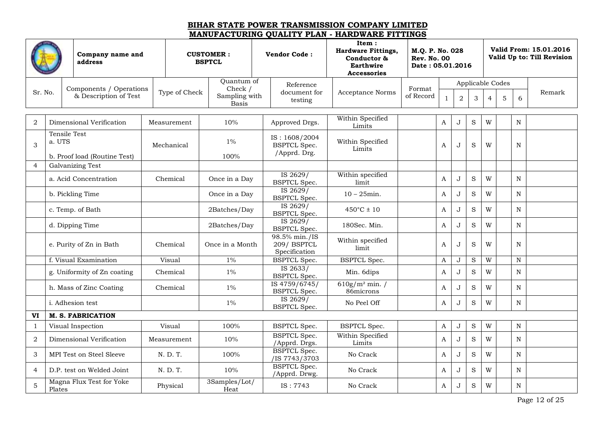|                |                               | Company name and<br>address                      |               | <b>CUSTOMER:</b><br><b>BSPTCL</b>        | <b>Vendor Code:</b>                                  | Item:<br><b>Hardware Fittings,</b><br>Conductor &<br><b>Earthwire</b><br><b>Accessories</b> | M.Q. P. No. 028<br><b>Rev. No. 00</b><br>Date: 05.01.2016 |              |                |             |                  |   |             | Valid From: 15.01.2016<br>Valid Up to: Till Revision |
|----------------|-------------------------------|--------------------------------------------------|---------------|------------------------------------------|------------------------------------------------------|---------------------------------------------------------------------------------------------|-----------------------------------------------------------|--------------|----------------|-------------|------------------|---|-------------|------------------------------------------------------|
|                |                               |                                                  |               | Quantum of                               | Reference                                            |                                                                                             |                                                           |              |                |             | Applicable Codes |   |             |                                                      |
| Sr. No.        |                               | Components / Operations<br>& Description of Test | Type of Check | Check /<br>Sampling with<br><b>Basis</b> | document for<br>testing                              | <b>Acceptance Norms</b>                                                                     | Format<br>of Record                                       | $\mathbf{1}$ | $\overline{2}$ | 3           | $\overline{4}$   | 5 | 6           | Remark                                               |
| $\overline{2}$ |                               | Dimensional Verification                         | Measurement   | 10%                                      | Approved Drgs.                                       | Within Specified<br>Limits                                                                  |                                                           | A            | J              | $\rm S$     | W                |   | N           |                                                      |
| 3              | <b>Tensile Test</b><br>a. UTS |                                                  | Mechanical    | $1\%$                                    | IS: 1608/2004<br><b>BSPTCL</b> Spec.<br>/Apprd. Drg. | Within Specified<br>Limits                                                                  |                                                           | A            | J              | S           | W                |   | N           |                                                      |
| $\overline{4}$ |                               | b. Proof load (Routine Test)<br>Galvanizing Test |               | 100%                                     |                                                      |                                                                                             |                                                           |              |                |             |                  |   |             |                                                      |
|                |                               | a. Acid Concentration                            | Chemical      | Once in a Day                            | IS 2629/<br><b>BSPTCL Spec.</b>                      | Within specified<br>limit                                                                   |                                                           | A            | $\mathbf{J}$   | S           | W                |   | N           |                                                      |
|                |                               | b. Pickling Time                                 |               | Once in a Day                            | IS 2629/<br><b>BSPTCL</b> Spec.                      | $10 - 25$ min.                                                                              |                                                           | A            | J              | $\rm S$     | W                |   | $\mathbf N$ |                                                      |
|                |                               | c. Temp. of Bath                                 |               | 2Batches/Day                             | IS 2629/<br><b>BSPTCL Spec.</b>                      | $450^{\circ}$ C ± 10                                                                        |                                                           | A            | J              | $\rm S$     | W                |   | N           |                                                      |
|                |                               | d. Dipping Time                                  |               | 2Batches/Day                             | IS 2629/<br><b>BSPTCL Spec.</b>                      | 180Sec. Min.                                                                                |                                                           | A            | J              | $\rm S$     | W                |   | N           |                                                      |
|                |                               | e. Purity of Zn in Bath                          | Chemical      | Once in a Month                          | 98.5% min./IS<br>209/BSPTCL<br>Specification         | Within specified<br>limit                                                                   |                                                           | A            | J              | S           | W                |   | $\mathbf N$ |                                                      |
|                |                               | f. Visual Examination                            | Visual        | $1\%$                                    | <b>BSPTCL Spec.</b>                                  | <b>BSPTCL Spec.</b>                                                                         |                                                           | A            | J              | S           | W                |   | N           |                                                      |
|                |                               | g. Uniformity of Zn coating                      | Chemical      | $1\%$                                    | IS 2633/<br><b>BSPTCL Spec.</b>                      | Min. 6dips                                                                                  |                                                           | A            | J              | $\rm S$     | W                |   | $\mathbf N$ |                                                      |
|                |                               | h. Mass of Zinc Coating                          | Chemical      | $1\%$                                    | IS 4759/6745/<br><b>BSPTCL Spec.</b>                 | $610g/m^2$ min. /<br>86microns                                                              |                                                           | A            | J              | $\rm S$     | W                |   | $\mathbf N$ |                                                      |
|                |                               | i. Adhesion test                                 |               | $1\%$                                    | IS 2629/<br><b>BSPTCL Spec.</b>                      | No Peel Off                                                                                 |                                                           | A            | J              | ${\bf S}$   | W                |   | N           |                                                      |
| VI             |                               | <b>M. S. FABRICATION</b>                         |               |                                          |                                                      |                                                                                             |                                                           |              |                |             |                  |   |             |                                                      |
| $\mathbf{1}$   |                               | Visual Inspection                                | Visual        | 100%                                     | <b>BSPTCL Spec.</b>                                  | <b>BSPTCL Spec.</b>                                                                         |                                                           | A            | J              | $\mathbf S$ | W                |   | $\mathbf N$ |                                                      |
| $\sqrt{2}$     |                               | Dimensional Verification                         | Measurement   | 10%                                      | <b>BSPTCL Spec.</b><br>/Apprd. Drgs.                 | Within Specified<br>Limits                                                                  |                                                           | A            | J              | S           | W                |   | N           |                                                      |
| 3              |                               | MPI Test on Steel Sleeve                         | N. D. T.      | 100%                                     | <b>BSPTCL Spec.</b><br>/IS 7743/3703                 | No Crack                                                                                    |                                                           | A            | J              | $\rm S$     | W                |   | $\mathbf N$ |                                                      |
| $\overline{4}$ |                               | D.P. test on Welded Joint                        | N. D. T.      | 10%                                      | <b>BSPTCL Spec.</b><br>/Apprd. Drwg.                 | No Crack                                                                                    |                                                           | A            | J              | $\rm S$     | W                |   | N           |                                                      |
| 5              | Plates                        | Magna Flux Test for Yoke                         | Physical      | 3Samples/Lot/<br>Heat                    | IS: 7743                                             | No Crack                                                                                    |                                                           | A            | J              | S           | W                |   | N           |                                                      |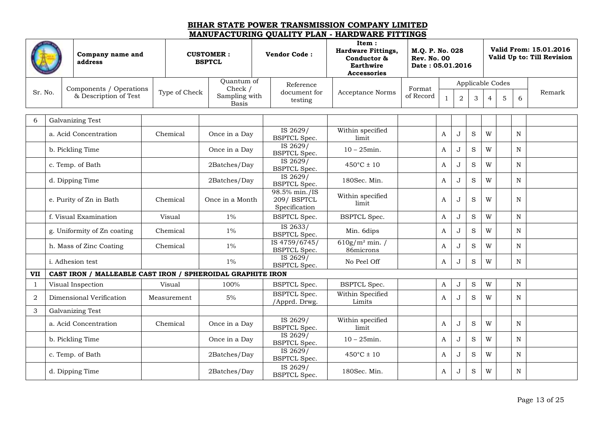|              | Company name and<br>address<br>Components / Operations<br>Sr. No. |                                                            |               | <b>CUSTOMER:</b><br><b>BSPTCL</b>        | <b>Vendor Code:</b>                          | Item:<br><b>Hardware Fittings,</b><br>Conductor &<br>Earthwire<br><b>Accessories</b> | M.Q. P. No. 028<br><b>Rev. No. 00</b><br>Date: 05.01.2016 |              |                |             |                  |   |             | Valid From: 15.01.2016<br>Valid Up to: Till Revision |
|--------------|-------------------------------------------------------------------|------------------------------------------------------------|---------------|------------------------------------------|----------------------------------------------|--------------------------------------------------------------------------------------|-----------------------------------------------------------|--------------|----------------|-------------|------------------|---|-------------|------------------------------------------------------|
|              |                                                                   |                                                            |               | Quantum of                               | Reference                                    |                                                                                      |                                                           |              |                |             | Applicable Codes |   |             |                                                      |
|              |                                                                   | & Description of Test                                      | Type of Check | Check /<br>Sampling with<br><b>Basis</b> | document for<br>testing                      | Acceptance Norms                                                                     | Format<br>of Record                                       | $\mathbf{1}$ | $\overline{a}$ | 3           | $\overline{4}$   | 5 | 6           | Remark                                               |
| 6            |                                                                   | Galvanizing Test                                           |               |                                          |                                              |                                                                                      |                                                           |              |                |             |                  |   |             |                                                      |
|              |                                                                   | a. Acid Concentration                                      | Chemical      | Once in a Day                            | IS 2629/<br><b>BSPTCL Spec.</b>              | Within specified<br>limit                                                            |                                                           | A            | J              | $\rm S$     | W                |   | N           |                                                      |
|              |                                                                   | b. Pickling Time                                           |               | Once in a Day                            | IS 2629/<br><b>BSPTCL Spec.</b>              | $10 - 25$ min.                                                                       |                                                           | $\mathbf{A}$ | J              | S           | W                |   | N           |                                                      |
|              |                                                                   | c. Temp. of Bath                                           |               | 2Batches/Day                             | IS 2629/<br><b>BSPTCL Spec.</b>              | $450^{\circ}$ C ± 10                                                                 |                                                           | A            | J              | S           | W                |   | N           |                                                      |
|              |                                                                   | d. Dipping Time                                            |               | 2Batches/Day                             | IS 2629/<br><b>BSPTCL Spec.</b>              | 180Sec. Min.                                                                         |                                                           | A            | J              | S           | W                |   | N           |                                                      |
|              |                                                                   | e. Purity of Zn in Bath                                    | Chemical      | Once in a Month                          | 98.5% min./IS<br>209/BSPTCL<br>Specification | Within specified<br>limit                                                            |                                                           | A            | J              | S           | W                |   | N           |                                                      |
|              |                                                                   | f. Visual Examination                                      | Visual        | $1\%$                                    | <b>BSPTCL Spec.</b>                          | <b>BSPTCL Spec.</b>                                                                  |                                                           | A            | J              | $\mathbf S$ | W                |   | $\mathbf N$ |                                                      |
|              |                                                                   | g. Uniformity of Zn coating                                | Chemical      | $1\%$                                    | IS 2633/<br><b>BSPTCL Spec.</b>              | Min. 6dips                                                                           |                                                           | A            | J              | S           | W                |   | N           |                                                      |
|              |                                                                   | h. Mass of Zinc Coating                                    | Chemical      | $1\%$                                    | IS 4759/6745/<br><b>BSPTCL Spec.</b>         | $610g/m^2$ min. /<br>86microns                                                       |                                                           | $\mathbf{A}$ | $\mathbf{J}$   | S           | W                |   | N           |                                                      |
|              |                                                                   | <i>i</i> . Adhesion test                                   |               | $1\%$                                    | IS 2629/<br><b>BSPTCL Spec.</b>              | No Peel Off                                                                          |                                                           | A            | J              | $\rm S$     | W                |   | N           |                                                      |
| <b>VII</b>   |                                                                   | CAST IRON / MALLEABLE CAST IRON / SPHEROIDAL GRAPHITE IRON |               |                                          |                                              |                                                                                      |                                                           |              |                |             |                  |   |             |                                                      |
| $\mathbf{1}$ |                                                                   | Visual Inspection                                          | Visual        | 100%                                     | <b>BSPTCL Spec.</b>                          | <b>BSPTCL Spec.</b>                                                                  |                                                           | A            | J              | $\rm S$     | W                |   | N           |                                                      |
| 2            |                                                                   | Dimensional Verification                                   | Measurement   | 5%                                       | <b>BSPTCL Spec.</b><br>/Apprd. Drwg.         | Within Specified<br>Limits                                                           |                                                           | A            | J              | S           | W                |   | N           |                                                      |
| 3            |                                                                   | Galvanizing Test                                           |               |                                          |                                              |                                                                                      |                                                           |              |                |             |                  |   |             |                                                      |
|              |                                                                   | a. Acid Concentration                                      | Chemical      | Once in a Day                            | IS 2629/<br><b>BSPTCL Spec.</b>              | Within specified<br>limit                                                            |                                                           | $\mathbf{A}$ | J              | S           | W                |   | N           |                                                      |
|              |                                                                   | b. Pickling Time                                           |               | Once in a Day                            | IS 2629/<br><b>BSPTCL Spec.</b>              | $10 - 25$ min.                                                                       |                                                           | A            | J              | $\rm S$     | W                |   | N           |                                                      |
|              |                                                                   | c. Temp. of Bath                                           |               | 2Batches/Day                             | IS 2629/<br><b>BSPTCL Spec.</b>              | $450^{\circ}$ C ± 10                                                                 |                                                           | $\mathbf{A}$ | J              | S           | W                |   | N           |                                                      |
|              |                                                                   | d. Dipping Time                                            |               | 2Batches/Day                             | IS 2629/<br><b>BSPTCL Spec.</b>              | 180Sec. Min.                                                                         |                                                           | A            | J              | $\rm S$     | W                |   | N           |                                                      |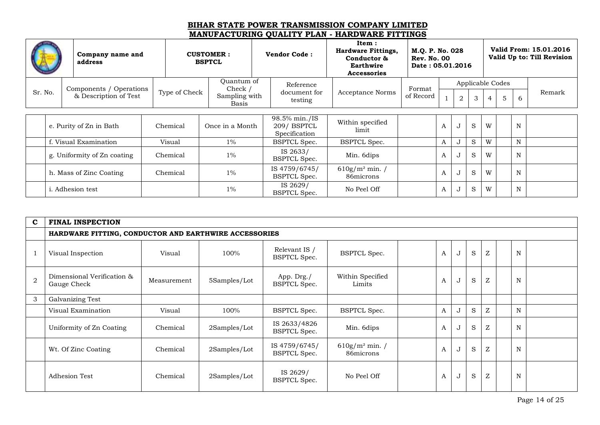|         | Company name and<br>address |               | <b>CUSTOMER:</b><br><b>BSPTCL</b> | <b>Vendor Code:</b>                          | Item:<br><b>Hardware Fittings,</b><br>Conductor &<br>Earthwire<br><b>Accessories</b> | M.Q. P. No. 028<br><b>Rev. No. 00</b><br>Date: 05.01.2016 |   |                |              |                |                  |   | Valid From: 15.01.2016<br>Valid Up to: Till Revision |
|---------|-----------------------------|---------------|-----------------------------------|----------------------------------------------|--------------------------------------------------------------------------------------|-----------------------------------------------------------|---|----------------|--------------|----------------|------------------|---|------------------------------------------------------|
|         | Components / Operations     |               | Quantum of<br>Check /             | Reference                                    |                                                                                      | Format                                                    |   |                |              |                | Applicable Codes |   |                                                      |
| Sr. No. | & Description of Test       | Type of Check | Sampling with<br>Basis            | document for<br>testing                      | <b>Acceptance Norms</b>                                                              | of Record                                                 |   | $\overline{2}$ | 3            | $\overline{4}$ | 5                | 6 | Remark                                               |
|         |                             |               |                                   |                                              |                                                                                      |                                                           |   |                |              |                |                  |   |                                                      |
|         | e. Purity of Zn in Bath     | Chemical      | Once in a Month                   | 98.5% min./IS<br>209/BSPTCL<br>Specification | Within specified<br>limit                                                            |                                                           | A | ٠J             | <sub>S</sub> | W              |                  | N |                                                      |
|         | f. Visual Examination       | Visual        | $1\%$                             | <b>BSPTCL Spec.</b>                          | <b>BSPTCL Spec.</b>                                                                  |                                                           | A | ഄ              | S            | W              |                  | N |                                                      |
|         | g. Uniformity of Zn coating | Chemical      | $1\%$                             | IS 2633/<br><b>BSPTCL Spec.</b>              | Min. 6dips                                                                           |                                                           | A |                | S            | W              |                  | N |                                                      |
|         | h. Mass of Zinc Coating     | Chemical      | $1\%$                             | IS 4759/6745/<br><b>BSPTCL Spec.</b>         | $610g/m^2$ min. /<br>86microns                                                       |                                                           | A |                | <sub>S</sub> | W              |                  | N |                                                      |
|         | <i>i</i> . Adhesion test    |               | $1\%$                             | IS 2629/<br><b>BSPTCL Spec.</b>              | No Peel Off                                                                          |                                                           | A |                | S            | W              |                  | N |                                                      |

| $\mathbf c$    | <b>FINAL INSPECTION</b>                               |             |              |                                      |                                |   |   |              |   |             |  |
|----------------|-------------------------------------------------------|-------------|--------------|--------------------------------------|--------------------------------|---|---|--------------|---|-------------|--|
|                | HARDWARE FITTING, CONDUCTOR AND EARTHWIRE ACCESSORIES |             |              |                                      |                                |   |   |              |   |             |  |
|                | Visual Inspection                                     | Visual      | 100%         | Relevant IS /<br><b>BSPTCL Spec.</b> | <b>BSPTCL Spec.</b>            | A | J | S            | Z | N           |  |
| $\overline{2}$ | Dimensional Verification &<br>Gauge Check             | Measurement | 5Samples/Lot | App. Drg./<br><b>BSPTCL Spec.</b>    | Within Specified<br>Limits     | A | J | S            | Z | $\mathbf N$ |  |
| 3              | Galvanizing Test                                      |             |              |                                      |                                |   |   |              |   |             |  |
|                | Visual Examination                                    | Visual      | 100%         | <b>BSPTCL Spec.</b>                  | <b>BSPTCL Spec.</b>            | A | J | <sub>S</sub> | Z | $\mathbf N$ |  |
|                | Uniformity of Zn Coating                              | Chemical    | 2Samples/Lot | IS 2633/4826<br><b>BSPTCL Spec.</b>  | Min. 6dips                     | A | J | S            | Z | N           |  |
|                | Wt. Of Zinc Coating                                   | Chemical    | 2Samples/Lot | IS 4759/6745/<br><b>BSPTCL Spec.</b> | $610g/m^2$ min. /<br>86microns | A | J | S            | Z | N           |  |
|                | <b>Adhesion Test</b>                                  | Chemical    | 2Samples/Lot | IS 2629/<br><b>BSPTCL Spec.</b>      | No Peel Off                    | A | J | S            | Z | N           |  |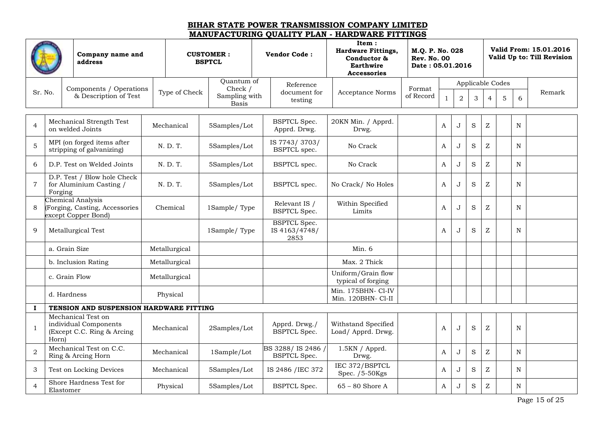|                | Company name and<br>address<br>Components / Operations |                                                                            |               | <b>CUSTOMER:</b><br><b>BSPTCL</b> | <b>Vendor Code:</b>                          | Item:<br><b>Hardware Fittings,</b><br>Conductor &<br><b>Earthwire</b><br><b>Accessories</b> | M.Q. P. No. 028<br><b>Rev. No. 00</b><br>Date: 05.01.2016 |                  |                |         |                           |   |   | Valid From: 15.01.2016<br>Valid Up to: Till Revision |
|----------------|--------------------------------------------------------|----------------------------------------------------------------------------|---------------|-----------------------------------|----------------------------------------------|---------------------------------------------------------------------------------------------|-----------------------------------------------------------|------------------|----------------|---------|---------------------------|---|---|------------------------------------------------------|
|                |                                                        |                                                                            |               | Ouantum of                        | Reference                                    |                                                                                             |                                                           |                  |                |         | Applicable Codes          |   |   |                                                      |
| Sr. No.        |                                                        | & Description of Test                                                      | Type of Check | Check /<br>Sampling with<br>Basis | document for<br>testing                      | <b>Acceptance Norms</b>                                                                     | Format<br>of Record                                       | $\mathbf{1}$     | $\overline{2}$ | 3       | 4                         | 5 | 6 | Remark                                               |
| $\overline{4}$ |                                                        | Mechanical Strength Test<br>on welded Joints                               | Mechanical    | 5Samples/Lot                      | <b>BSPTCL Spec.</b><br>Apprd. Drwg.          | 20KN Min. / Apprd.<br>Drwg.                                                                 |                                                           | A                | J              | $\rm S$ | $\ensuremath{\mathbf{Z}}$ |   | N |                                                      |
| $\mathbf 5$    |                                                        | MPI (on forged items after<br>stripping of galvanizing)                    | N. D. T.      | 5Samples/Lot                      | IS 7743/3703/<br><b>BSPTCL</b> spec.         | No Crack                                                                                    |                                                           | $\mathbf{A}$     | J              | S       | $\ensuremath{\mathbf{Z}}$ |   | N |                                                      |
| 6              |                                                        | D.P. Test on Welded Joints                                                 | N. D. T.      | 5Samples/Lot                      | BSPTCL spec.                                 | No Crack                                                                                    |                                                           | $\mathbf{A}$     | J              | S       | $\ensuremath{\mathbf{Z}}$ |   | N |                                                      |
| $\overline{7}$ | Forging                                                | D.P. Test / Blow hole Check<br>for Aluminium Casting /                     | N. D. T.      | 5Samples/Lot                      | <b>BSPTCL</b> spec.                          | No Crack/ No Holes                                                                          |                                                           | $\mathbf{A}$     | J              | S       | $\mathbf{Z}$              |   | N |                                                      |
| 8              |                                                        | Chemical Analysis<br>(Forging, Casting, Accessories<br>except Copper Bond) | Chemical      | 1Sample/Type                      | Relevant IS /<br><b>BSPTCL Spec.</b>         | Within Specified<br>Limits                                                                  |                                                           | $\boldsymbol{A}$ | J              | S       | $\ensuremath{\mathbf{Z}}$ |   | N |                                                      |
| 9              |                                                        | Metallurgical Test                                                         |               | 1Sample/Type                      | <b>BSPTCL Spec.</b><br>IS 4163/4748/<br>2853 |                                                                                             |                                                           | A                | J              | S       | Z                         |   | N |                                                      |
|                |                                                        | a. Grain Size                                                              | Metallurgical |                                   |                                              | Min.6                                                                                       |                                                           |                  |                |         |                           |   |   |                                                      |
|                |                                                        | b. Inclusion Rating                                                        | Metallurgical |                                   |                                              | Max. 2 Thick                                                                                |                                                           |                  |                |         |                           |   |   |                                                      |
|                |                                                        | c. Grain Flow                                                              | Metallurgical |                                   |                                              | Uniform/Grain flow<br>typical of forging                                                    |                                                           |                  |                |         |                           |   |   |                                                      |
|                |                                                        | d. Hardness                                                                | Physical      |                                   |                                              | Min. 175BHN- Cl-IV<br>Min. 120BHN- Cl-II                                                    |                                                           |                  |                |         |                           |   |   |                                                      |
| $\bf{I}$       |                                                        | TENSION AND SUSPENSION HARDWARE FITTING                                    |               |                                   |                                              |                                                                                             |                                                           |                  |                |         |                           |   |   |                                                      |
| $\mathbf{1}$   | Horn)                                                  | Mechanical Test on<br>individual Components<br>(Except C.C. Ring & Arcing  | Mechanical    | 2Samples/Lot                      | Apprd. Drwg./<br><b>BSPTCL Spec.</b>         | Withstand Specified<br>Load/ Apprd. Drwg.                                                   |                                                           | A                | J              | S       | Z                         |   | N |                                                      |
| $\overline{2}$ |                                                        | Mechanical Test on C.C.<br>Ring & Arcing Horn                              | Mechanical    | 1Sample/Lot                       | BS 3288/IS 2486<br><b>BSPTCL Spec.</b>       | 1.5KN / Apprd.<br>Drwg.                                                                     |                                                           | A                | J              | S       | $\mathbf{Z}$              |   | N |                                                      |
| 3              |                                                        | Test on Locking Devices                                                    | Mechanical    | 5Samples/Lot                      | IS 2486 / IEC 372                            | IEC 372/BSPTCL<br>Spec. /5-50Kgs                                                            |                                                           | A                | J              | S       | $\mathbf{Z}$              |   | N |                                                      |
| $\overline{4}$ | Elastomer                                              | Shore Hardness Test for                                                    | Physical      | 5Samples/Lot                      | <b>BSPTCL Spec.</b>                          | $65 - 80$ Shore A                                                                           |                                                           | A                | J              | S       | $\mathbf{Z}$              |   | N |                                                      |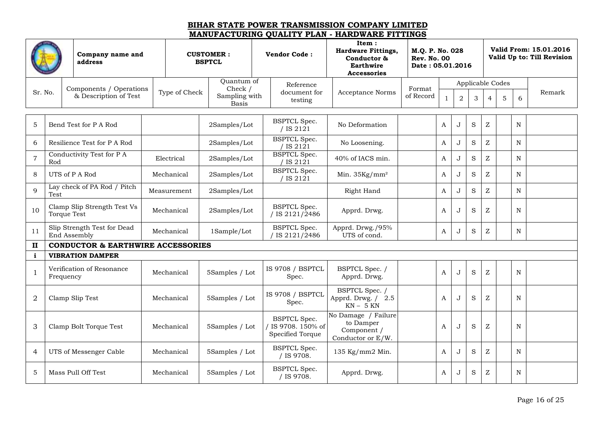|                |      | Company name and<br>address                       |               | <b>CUSTOMER:</b><br><b>BSPTCL</b>        | <b>Vendor Code:</b>                                         | Item:<br><b>Hardware Fittings,</b><br>Conductor &<br>Earthwire<br><b>Accessories</b> | M.Q. P. No. 028<br><b>Rev. No. 00</b><br>Date: 05.01.2016 |              |                |         |                  |                  |             | Valid From: 15.01.2016<br>Valid Up to: Till Revision |
|----------------|------|---------------------------------------------------|---------------|------------------------------------------|-------------------------------------------------------------|--------------------------------------------------------------------------------------|-----------------------------------------------------------|--------------|----------------|---------|------------------|------------------|-------------|------------------------------------------------------|
|                |      |                                                   |               | Quantum of                               | Reference                                                   |                                                                                      |                                                           |              |                |         |                  | Applicable Codes |             |                                                      |
| Sr. No.        |      | Components / Operations<br>& Description of Test  | Type of Check | Check /<br>Sampling with<br><b>Basis</b> | document for<br>testing                                     | <b>Acceptance Norms</b>                                                              | Format<br>of Record                                       | $\mathbf{1}$ | $\overline{a}$ | 3       | $\overline{4}$   | 5                | 6           | Remark                                               |
|                |      |                                                   |               |                                          |                                                             |                                                                                      |                                                           |              |                |         |                  |                  |             |                                                      |
| 5              |      | Bend Test for P A Rod                             |               | 2Samples/Lot                             | <b>BSPTCL Spec.</b><br>/ IS $2121$                          | No Deformation                                                                       |                                                           | A            | J              | S       | $\boldsymbol{Z}$ |                  | $\mathbf N$ |                                                      |
| 6              |      | Resilience Test for P A Rod                       |               | 2Samples/Lot                             | <b>BSPTCL Spec.</b><br>IS 2121                              | No Loosening.                                                                        |                                                           | A            | J              | $\rm S$ | $\mathbf{Z}$     |                  | N           |                                                      |
| $\overline{7}$ | Rod  | Conductivity Test for P A                         | Electrical    | 2Samples/Lot                             | <b>BSPTCL</b> Spec.<br>IS 2121                              | 40% of IACS min.                                                                     |                                                           | A            | J              | S       | Z                |                  | N           |                                                      |
| 8              |      | UTS of P A Rod                                    | Mechanical    | 2Samples/Lot                             | <b>BSPTCL Spec.</b><br>' IS 2121                            | Min. $35\text{Kg/mm}^2$                                                              |                                                           | A            | J              | S       | Z                |                  | N           |                                                      |
| $\mathbf{Q}$   | Test | Lay check of PA Rod / Pitch                       | Measurement   | 2Samples/Lot                             |                                                             | Right Hand                                                                           |                                                           | A            | J              | S       | Z                |                  | N           |                                                      |
| 10             |      | Clamp Slip Strength Test Vs<br><b>Torque Test</b> | Mechanical    | 2Samples/Lot                             | <b>BSPTCL Spec.</b><br>/ IS 2121/2486                       | Apprd. Drwg.                                                                         |                                                           | A            | . J            | S       | Z                |                  | N           |                                                      |
| 11             |      | Slip Strength Test for Dead<br>End Assembly       | Mechanical    | 1Sample/Lot                              | <b>BSPTCL Spec.</b><br>IS 2121/2486                         | Apprd. Drwg./95%<br>UTS of cond.                                                     |                                                           | A            | J              | S       | Z                |                  | N           |                                                      |
| $\mathbf{I}$   |      | <b>CONDUCTOR &amp; EARTHWIRE ACCESSORIES</b>      |               |                                          |                                                             |                                                                                      |                                                           |              |                |         |                  |                  |             |                                                      |
| i              |      | <b>VIBRATION DAMPER</b>                           |               |                                          |                                                             |                                                                                      |                                                           |              |                |         |                  |                  |             |                                                      |
| $\mathbf{1}$   |      | Verification of Resonance<br>Frequency            | Mechanical    | 5Samples / Lot                           | IS 9708 / BSPTCL<br>Spec.                                   | BSPTCL Spec. /<br>Apprd. Drwg.                                                       |                                                           | A            | J              | $\rm S$ | $\boldsymbol{Z}$ |                  | $\mathbf N$ |                                                      |
| $\overline{2}$ |      | Clamp Slip Test                                   | Mechanical    | 5Samples / Lot                           | IS 9708 / BSPTCL<br>Spec.                                   | BSPTCL Spec. /<br>Apprd. Drwg. / 2.5<br>$KN - 5 KN$                                  |                                                           | A            | . J            | $\rm S$ | Z                |                  | N           |                                                      |
| 3              |      | Clamp Bolt Torque Test                            | Mechanical    | 5Samples / Lot                           | <b>BSPTCL Spec.</b><br>IS 9708. 150% of<br>Specified Torque | No Damage / Failure<br>to Damper<br>Component /<br>Conductor or E/W.                 |                                                           | A            | J              | S       | Z                |                  | N           |                                                      |
| $\overline{4}$ |      | UTS of Messenger Cable                            | Mechanical    | 5Samples / Lot                           | <b>BSPTCL Spec.</b><br>/ IS 9708.                           | 135 Kg/mm2 Min.                                                                      |                                                           | A            | J              | $\rm S$ | $\boldsymbol{Z}$ |                  | $\mathbf N$ |                                                      |
| 5              |      | Mass Pull Off Test                                | Mechanical    | 5Samples / Lot                           | <b>BSPTCL Spec.</b><br>/ IS 9708.                           | Apprd. Drwg.                                                                         |                                                           | A            | J              | S       | Z                |                  | N           |                                                      |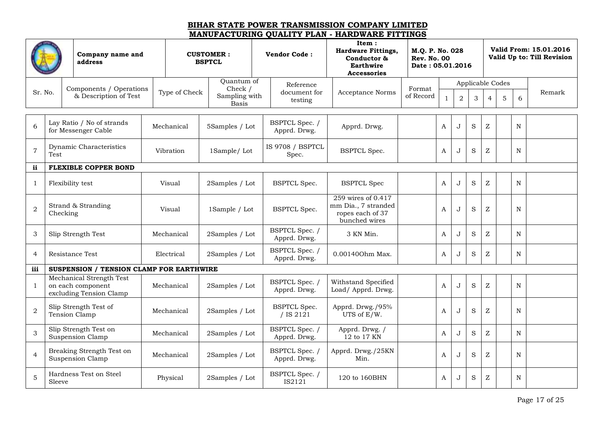|                |          | Company name and<br>address                                              |               | <b>CUSTOMER:</b><br><b>BSPTCL</b>        | <b>Vendor Code:</b>              | Item:<br><b>Hardware Fittings,</b><br>Conductor &<br><b>Earthwire</b><br><b>Accessories</b> | M.Q. P. No. 028<br><b>Rev. No. 00</b><br>Date: 05.01.2016 |              |                |         |                |                  |             | Valid From: 15.01.2016<br>Valid Up to: Till Revision |
|----------------|----------|--------------------------------------------------------------------------|---------------|------------------------------------------|----------------------------------|---------------------------------------------------------------------------------------------|-----------------------------------------------------------|--------------|----------------|---------|----------------|------------------|-------------|------------------------------------------------------|
|                |          |                                                                          |               | Quantum of                               | Reference                        |                                                                                             |                                                           |              |                |         |                | Applicable Codes |             |                                                      |
| Sr. No.        |          | Components / Operations<br>& Description of Test                         | Type of Check | Check /<br>Sampling with<br><b>Basis</b> | document for<br>testing          | <b>Acceptance Norms</b>                                                                     | Format<br>of Record                                       | $\mathbf{1}$ | $\overline{2}$ | 3       | $\overline{4}$ | 5                | 6           | Remark                                               |
|                |          |                                                                          |               |                                          |                                  |                                                                                             |                                                           |              |                |         |                |                  |             |                                                      |
| 6              |          | Lay Ratio / No of strands<br>for Messenger Cable                         | Mechanical    | 5Samples / Lot                           | BSPTCL Spec. /<br>Apprd. Drwg.   | Apprd. Drwg.                                                                                |                                                           | A            | J              | $\rm S$ | Z              |                  | ${\bf N}$   |                                                      |
| $\overline{7}$ | Test     | Dynamic Characteristics                                                  | Vibration     | 1Sample/Lot                              | IS 9708 / BSPTCL<br>Spec.        | <b>BSPTCL Spec.</b>                                                                         |                                                           | A            | J              | S       | Z              |                  | $\mathbf N$ |                                                      |
| ii             |          | <b>FLEXIBLE COPPER BOND</b>                                              |               |                                          |                                  |                                                                                             |                                                           |              |                |         |                |                  |             |                                                      |
| 1              |          | Flexibility test                                                         | Visual        | 2Samples / Lot                           | <b>BSPTCL Spec.</b>              | <b>BSPTCL Spec</b>                                                                          |                                                           | A            | J              | $\rm S$ | Ζ              |                  | $\mathbf N$ |                                                      |
| $\overline{2}$ | Checking | Strand & Stranding                                                       | Visual        | 1Sample / Lot                            | <b>BSPTCL Spec.</b>              | 259 wires of 0.417<br>mm Dia., 7 stranded<br>ropes each of 37<br>bunched wires              |                                                           | A            | J.             | S       | Z              |                  | N           |                                                      |
| $\mathbf{3}$   |          | Slip Strength Test                                                       | Mechanical    | 2Samples / Lot                           | BSPTCL Spec. /<br>Apprd. Drwg.   | 3 KN Min.                                                                                   |                                                           | A            | J              | $\rm S$ | Ζ              |                  | $\mathbf N$ |                                                      |
| $\overline{4}$ |          | Resistance Test                                                          | Electrical    | 2Samples / Lot                           | BSPTCL Spec. /<br>Apprd. Drwg.   | 0.001400hm Max.                                                                             |                                                           | A            | J              | S       | Ζ              |                  | N           |                                                      |
| iii            |          | <b>SUSPENSION / TENSION CLAMP FOR EARTHWIRE</b>                          |               |                                          |                                  |                                                                                             |                                                           |              |                |         |                |                  |             |                                                      |
| 1              |          | Mechanical Strength Test<br>on each component<br>excluding Tension Clamp | Mechanical    | 2Samples / Lot                           | BSPTCL Spec. /<br>Apprd. Drwg.   | Withstand Specified<br>Load/ Apprd. Drwg.                                                   |                                                           | A            | $\mathbf{J}$   | S       | Ζ              |                  | $\mathbf N$ |                                                      |
| $\overline{a}$ |          | Slip Strength Test of<br>Tension Clamp                                   | Mechanical    | 2Samples / Lot                           | <b>BSPTCL Spec.</b><br>/ IS 2121 | Apprd. Drwg./95%<br>UTS of E/W.                                                             |                                                           | A            | J              | S       | Z              |                  | N           |                                                      |
| 3              |          | Slip Strength Test on<br>Suspension Clamp                                | Mechanical    | 2Samples / Lot                           | BSPTCL Spec. /<br>Apprd. Drwg.   | Apprd. Drwg. /<br>12 to 17 KN                                                               |                                                           | A            | J              | S       | Z              |                  | $\mathbf N$ |                                                      |
| $\overline{4}$ |          | Breaking Strength Test on<br>Suspension Clamp                            | Mechanical    | 2Samples / Lot                           | BSPTCL Spec. /<br>Apprd. Drwg.   | Apprd. Drwg./25KN<br>Min.                                                                   |                                                           | A            | J              | S       | Z              |                  | N           |                                                      |
| 5              | Sleeve   | Hardness Test on Steel                                                   | Physical      | 2Samples / Lot                           | BSPTCL Spec. /<br>IS2121         | 120 to 160BHN                                                                               |                                                           | A            | J              | S       | Ζ              |                  | $\mathbf N$ |                                                      |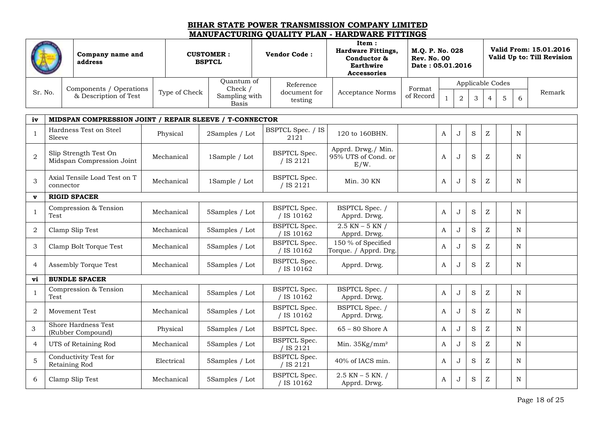|         | Company name and<br>address |               | <b>CUSTOMER:</b><br><b>BSPTCL</b> | <b>Vendor Code:</b>     | Item:<br><b>Hardware Fittings,</b><br>Conductor &<br><b>Earthwire</b><br><b>Accessories</b> | M.O. P. No. 028<br><b>Rev. No. 00</b><br>Date: 05.01.2016 |  |  |                  | Valid From: 15.01.2016<br>Valid Up to: Till Revision |
|---------|-----------------------------|---------------|-----------------------------------|-------------------------|---------------------------------------------------------------------------------------------|-----------------------------------------------------------|--|--|------------------|------------------------------------------------------|
|         | Components / Operations     |               | Ouantum of<br>Check /             | Reference               |                                                                                             | Format                                                    |  |  | Applicable Codes |                                                      |
| Sr. No. | & Description of Test       | Type of Check | Sampling with<br>Basis            | document for<br>testing | Acceptance Norms                                                                            | of Record                                                 |  |  |                  | Remark                                               |

| iv             | MIDSPAN COMPRESSION JOINT / REPAIR SLEEVE / T-CONNECTOR |            |                |                                   |                                                   |              |              |   |                           |             |  |
|----------------|---------------------------------------------------------|------------|----------------|-----------------------------------|---------------------------------------------------|--------------|--------------|---|---------------------------|-------------|--|
| $\mathbf 1$    | Hardness Test on Steel<br>Sleeve                        | Physical   | 2Samples / Lot | BSPTCL Spec. / IS<br>2121         | 120 to 160BHN.                                    | A            | $\mathbf J$  | S | Z                         | $\mathbf N$ |  |
| $\overline{2}$ | Slip Strength Test On<br>Midspan Compression Joint      | Mechanical | 1Sample / Lot  | <b>BSPTCL Spec.</b><br>/ IS 2121  | Apprd. Drwg./ Min.<br>95% UTS of Cond. or<br>E/W. | A            | J            | S | Z                         | N           |  |
| 3              | Axial Tensile Load Test on T<br>connector               | Mechanical | 1Sample / Lot  | <b>BSPTCL Spec.</b><br>/ IS 2121  | Min. 30 KN                                        | A            | J            | S | $\ensuremath{\mathbf{Z}}$ | $\mathbf N$ |  |
| $\mathbf{v}$   | <b>RIGID SPACER</b>                                     |            |                |                                   |                                                   |              |              |   |                           |             |  |
| 1              | Compression & Tension<br>Test                           | Mechanical | 5Samples / Lot | <b>BSPTCL Spec.</b><br>/ IS 10162 | BSPTCL Spec. /<br>Apprd. Drwg.                    | A            | . 1          | S | Z                         | $\mathbf N$ |  |
| 2              | Clamp Slip Test                                         | Mechanical | 5Samples / Lot | <b>BSPTCL Spec.</b><br>IS 10162   | $2.5$ KN $-$ 5 KN $/$<br>Apprd. Drwg.             | A            | $\cdot$      | S | Z                         | N           |  |
| 3              | Clamp Bolt Torque Test                                  | Mechanical | 5Samples / Lot | <b>BSPTCL Spec.</b><br>/ IS 10162 | 150 % of Specified<br>Torque. / Apprd. Drg.       | A            | J            | S | Z                         | N           |  |
| $\overline{4}$ | Assembly Torque Test                                    | Mechanical | 5Samples / Lot | <b>BSPTCL Spec.</b><br>/ IS 10162 | Apprd. Drwg.                                      | A            | J            | S | Z                         | N           |  |
| vi             | <b>BUNDLE SPACER</b>                                    |            |                |                                   |                                                   |              |              |   |                           |             |  |
| 1              | Compression & Tension<br>Test                           | Mechanical | 5Samples / Lot | <b>BSPTCL Spec.</b><br>IS 10162   | BSPTCL Spec. /<br>Apprd. Drwg.                    | A            | J            | S | Z                         | N           |  |
| 2              | <b>Movement Test</b>                                    | Mechanical | 5Samples / Lot | <b>BSPTCL Spec.</b><br>/ IS 10162 | BSPTCL Spec. /<br>Apprd. Drwg.                    | A            | J            | S | Z                         | N           |  |
| 3              | Shore Hardness Test<br>(Rubber Compound)                | Physical   | 5Samples / Lot | <b>BSPTCL Spec.</b>               | $65 - 80$ Shore A                                 | A            | $\mathbf{J}$ | S | Z                         | N           |  |
| 4              | UTS of Retaining Rod                                    | Mechanical | 5Samples / Lot | <b>BSPTCL Spec.</b><br>IS 2121    | Min. $35\text{Kg/mm}^2$                           | A            | ۱.           | S | Z                         | N           |  |
| 5              | Conductivity Test for<br>Retaining Rod                  | Electrical | 5Samples / Lot | <b>BSPTCL Spec.</b><br>' IS 2121  | 40% of IACS min.                                  | $\mathbf{A}$ | . J          | S | Z                         | N           |  |
| 6              | Clamp Slip Test                                         | Mechanical | 5Samples / Lot | <b>BSPTCL Spec.</b><br>/ IS 10162 | $2.5$ KN $-5$ KN. /<br>Apprd. Drwg.               | A            | J            | S | Z                         | $\mathbf N$ |  |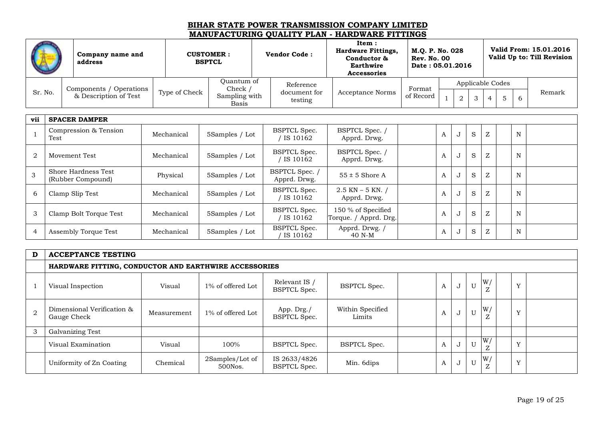|                |                               | Company name and<br>address              |  |               | <b>CUSTOMER:</b><br><b>BSPTCL</b> |  | <b>Vendor Code:</b>                 | Item:<br><b>Hardware Fittings,</b><br>Conductor &<br>Earthwire<br><b>Accessories</b> | M.Q. P. No. 028<br><b>Rev. No. 00</b><br>Date: 05.01.2016 |   |                |   |   |                  |    | Valid From: 15.01.2016<br>Valid Up to: Till Revision |
|----------------|-------------------------------|------------------------------------------|--|---------------|-----------------------------------|--|-------------------------------------|--------------------------------------------------------------------------------------|-----------------------------------------------------------|---|----------------|---|---|------------------|----|------------------------------------------------------|
|                |                               | Components / Operations                  |  |               | Quantum of<br>Check /             |  | Reference                           |                                                                                      | Format                                                    |   |                |   |   | Applicable Codes |    |                                                      |
| Sr. No.        |                               | & Description of Test                    |  | Type of Check | Sampling with<br><b>Basis</b>     |  | document for<br>testing             | <b>Acceptance Norms</b>                                                              | of Record                                                 |   | $\overline{2}$ | 3 | 4 | 5                | -6 | Remark                                               |
|                | vii<br><b>SPACER DAMPER</b>   |                                          |  |               |                                   |  |                                     |                                                                                      |                                                           |   |                |   |   |                  |    |                                                      |
|                | Compression & Tension<br>Test |                                          |  | Mechanical    | 5Samples / Lot                    |  | <b>BSPTCL Spec.</b><br>/ IS $10162$ | BSPTCL Spec. /<br>Apprd. Drwg.                                                       |                                                           | A | $\mathbf{J}$   | S | Z |                  | N  |                                                      |
| $\overline{2}$ |                               | Movement Test                            |  | Mechanical    | 5Samples / Lot                    |  | <b>BSPTCL Spec.</b><br>/ IS 10162   | BSPTCL Spec. /<br>Apprd. Drwg.                                                       |                                                           | A | J              | S | Z |                  | N  |                                                      |
| 3              |                               | Shore Hardness Test<br>(Rubber Compound) |  | Physical      | 5Samples / Lot                    |  | BSPTCL Spec. /<br>Apprd. Drwg.      | $55 \pm 5$ Shore A                                                                   |                                                           | A | J              | S | Z |                  | N  |                                                      |
| 6              |                               | Clamp Slip Test                          |  | Mechanical    | 5Samples / Lot                    |  | <b>BSPTCL Spec.</b><br>/ IS 10162   | $2.5$ KN $-$ 5 KN. /<br>Apprd. Drwg.                                                 |                                                           | A | J              | S | Z |                  | N  |                                                      |
| $\mathfrak{Z}$ |                               | Clamp Bolt Torque Test                   |  | Mechanical    | 5Samples / Lot                    |  | <b>BSPTCL Spec.</b><br>/ IS 10162   | 150 % of Specified<br>Torque. / Apprd. Drg.                                          |                                                           | A |                | S | Z |                  | N  |                                                      |
| $\overline{4}$ |                               | Assembly Torque Test                     |  | Mechanical    | 5Samples / Lot                    |  | <b>BSPTCL Spec.</b><br>IS 10162     | Apprd. Drwg. /<br>40 N-M                                                             |                                                           | A | J              | S | Z |                  | N  |                                                      |

| D | <b>ACCEPTANCE TESTING</b>                             |             |                            |                                      |                            |                    |   |   |                         |              |  |
|---|-------------------------------------------------------|-------------|----------------------------|--------------------------------------|----------------------------|--------------------|---|---|-------------------------|--------------|--|
|   | HARDWARE FITTING, CONDUCTOR AND EARTHWIRE ACCESSORIES |             |                            |                                      |                            |                    |   |   |                         |              |  |
|   | Visual Inspection                                     | Visual      | 1% of offered Lot          | Relevant IS /<br><b>BSPTCL Spec.</b> | <b>BSPTCL Spec.</b>        | A                  | ◡ | U | W/<br>$\mathbf{z}$<br>↩ | $\mathbf{v}$ |  |
| 2 | Dimensional Verification &<br>Gauge Check             | Measurement | 1% of offered Lot          | App. Drg./<br><b>BSPTCL Spec.</b>    | Within Specified<br>Limits | $\boldsymbol{\mu}$ | ◡ | U | W/<br>∠                 | <b>TT</b>    |  |
| 3 | Galvanizing Test                                      |             |                            |                                      |                            |                    |   |   |                         |              |  |
|   | Visual Examination                                    | Visual      | 100%                       | <b>BSPTCL Spec.</b>                  | <b>BSPTCL Spec.</b>        | A                  | ◡ | U | W/<br>$\mathbf{z}$      | <b>TT</b>    |  |
|   | Uniformity of Zn Coating                              | Chemical    | 2Samples/Lot of<br>500Nos. | IS 2633/4826<br><b>BSPTCL Spec.</b>  | Min. 6dips                 | A                  | ◡ | U | W/<br>$\mathbf{z}$<br>↩ | <b>TT</b>    |  |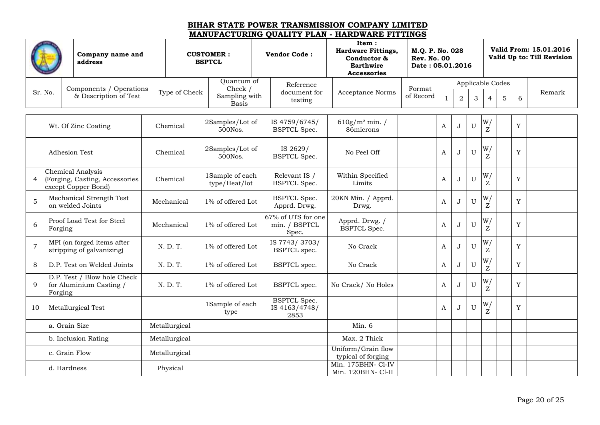| address        |         | Company name and                                                           |               | <b>CUSTOMER:</b><br><b>BSPTCL</b> |                                                          | <b>Vendor Code:</b>                          | Item:<br><b>Hardware Fittings,</b><br>Conductor &<br><b>Earthwire</b><br><b>Accessories</b> | M.Q. P. No. 028<br><b>Rev. No. 00</b><br>Date: 05.01.2016 |              |                |   |                  |   |   | Valid From: 15.01.2016<br>Valid Up to: Till Revision |
|----------------|---------|----------------------------------------------------------------------------|---------------|-----------------------------------|----------------------------------------------------------|----------------------------------------------|---------------------------------------------------------------------------------------------|-----------------------------------------------------------|--------------|----------------|---|------------------|---|---|------------------------------------------------------|
|                |         |                                                                            |               | Quantum of<br>Check $/$           |                                                          | Reference                                    |                                                                                             |                                                           |              |                |   | Applicable Codes |   |   |                                                      |
| Sr. No.        |         | Components / Operations<br>& Description of Test                           | Type of Check |                                   | document for<br>Sampling with<br>testing<br><b>Basis</b> |                                              | Acceptance Norms                                                                            | Format<br>of Record                                       | $\mathbf{1}$ | $\overline{2}$ | 3 | $\overline{4}$   | 5 | 6 | Remark                                               |
|                |         | Wt. Of Zinc Coating                                                        | Chemical      | 2Samples/Lot of<br>500Nos.        |                                                          | IS 4759/6745/<br><b>BSPTCL Spec.</b>         | $610g/m^2$ min. /<br>86microns                                                              |                                                           | A            | J              | U | W/<br>Ζ          |   | Y |                                                      |
|                |         | <b>Adhesion Test</b>                                                       | Chemical      | 2Samples/Lot of<br>500Nos.        |                                                          | IS 2629/<br><b>BSPTCL Spec.</b>              | No Peel Off                                                                                 |                                                           | A            | J              | U | W/<br>Z          |   | Y |                                                      |
| 4              |         | Chemical Analysis<br>(Forging, Casting, Accessories<br>except Copper Bond) | Chemical      | 1Sample of each<br>type/Heat/lot  |                                                          | Relevant IS /<br><b>BSPTCL Spec.</b>         | Within Specified<br>Limits                                                                  |                                                           | A            | J              | U | W/<br>Z          |   | Y |                                                      |
| 5              |         | Mechanical Strength Test<br>on welded Joints                               | Mechanical    | 1% of offered Lot                 |                                                          | <b>BSPTCL Spec.</b><br>Apprd. Drwg.          | 20KN Min. / Apprd.<br>Drwg.                                                                 |                                                           | A            | J              | U | W/<br>Z          |   | Y |                                                      |
| 6              | Forging | Proof Load Test for Steel                                                  | Mechanical    | 1% of offered Lot                 |                                                          | 67% of UTS for one<br>min. / BSPTCL<br>Spec. | Apprd. Drwg. /<br><b>BSPTCL Spec.</b>                                                       |                                                           | A            | J              | U | W/<br>Z          |   | Y |                                                      |
| $\overline{7}$ |         | MPI (on forged items after<br>stripping of galvanizing)                    | N. D. T.      | 1% of offered Lot                 |                                                          | IS 7743/3703/<br><b>BSPTCL</b> spec.         | No Crack                                                                                    |                                                           | A            | J              | U | W/<br>Z          |   | Y |                                                      |
| 8              |         | D.P. Test on Welded Joints                                                 | N. D. T.      | 1% of offered Lot                 |                                                          | BSPTCL spec.                                 | No Crack                                                                                    |                                                           | A            | J              | U | W/<br>Z          |   | Y |                                                      |
| 9              | Forging | D.P. Test / Blow hole Check<br>for Aluminium Casting /                     | N. D. T.      | 1% of offered Lot                 |                                                          | BSPTCL spec.                                 | No Crack/ No Holes                                                                          |                                                           | A            | J              | U | W/<br>Z          |   | Y |                                                      |
| 10             |         | Metallurgical Test                                                         |               | 1Sample of each<br>type           |                                                          | <b>BSPTCL Spec.</b><br>IS 4163/4748/<br>2853 |                                                                                             |                                                           | A            | J              | U | W/<br>Z          |   | Y |                                                      |
|                |         | a. Grain Size                                                              | Metallurgical |                                   |                                                          |                                              | Min. 6                                                                                      |                                                           |              |                |   |                  |   |   |                                                      |
|                |         | b. Inclusion Rating                                                        | Metallurgical |                                   |                                                          |                                              | Max. 2 Thick                                                                                |                                                           |              |                |   |                  |   |   |                                                      |
|                |         | c. Grain Flow                                                              | Metallurgical |                                   |                                                          |                                              | Uniform/Grain flow<br>typical of forging                                                    |                                                           |              |                |   |                  |   |   |                                                      |
|                |         | d. Hardness                                                                | Physical      |                                   |                                                          |                                              | Min. 175BHN- Cl-IV<br>Min. 120BHN- Cl-II                                                    |                                                           |              |                |   |                  |   |   |                                                      |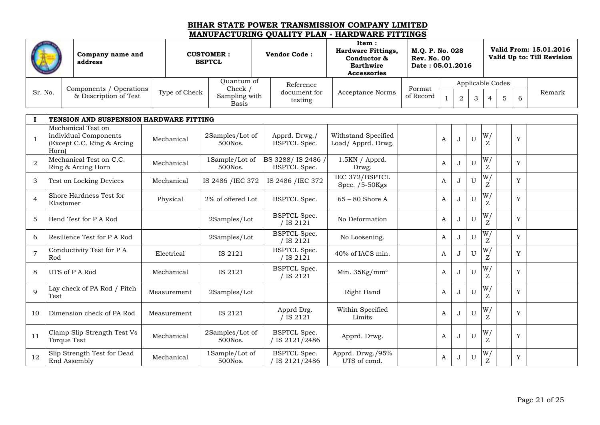|                |                                                  |                                                     |  |                                                          |                               |                         |                                                                                      | MARUFACI UNING QUADITTI DAN - HANDWAND FITTINGS           |                     |                  |              |             |                  |   |                                                      |        |
|----------------|--------------------------------------------------|-----------------------------------------------------|--|----------------------------------------------------------|-------------------------------|-------------------------|--------------------------------------------------------------------------------------|-----------------------------------------------------------|---------------------|------------------|--------------|-------------|------------------|---|------------------------------------------------------|--------|
|                | Company name and<br>address                      |                                                     |  | <b>CUSTOMER:</b><br><b>Vendor Code:</b><br><b>BSPTCL</b> |                               |                         | Item:<br><b>Hardware Fittings,</b><br>Conductor &<br>Earthwire<br><b>Accessories</b> | M.O. P. No. 028<br><b>Rev. No. 00</b><br>Date: 05.01.2016 |                     |                  |              |             |                  |   | Valid From: 15.01.2016<br>Valid Up to: Till Revision |        |
|                |                                                  |                                                     |  |                                                          | Quantum of<br>Check $/$       |                         | Reference                                                                            |                                                           |                     |                  |              |             | Applicable Codes |   |                                                      |        |
| Sr. No.        | Components / Operations<br>& Description of Test |                                                     |  | Type of Check                                            | Sampling with<br><b>Basis</b> | document for<br>testing |                                                                                      | <b>Acceptance Norms</b>                                   | Format<br>of Record | 2<br>3           |              |             |                  | 5 | 6                                                    | Remark |
|                |                                                  | TENSION AND SUSPENSION HARDWARE FITTING             |  |                                                          |                               |                         |                                                                                      |                                                           |                     |                  |              |             |                  |   |                                                      |        |
|                |                                                  | Mechanical Test on                                  |  |                                                          |                               |                         |                                                                                      |                                                           |                     |                  |              |             |                  |   |                                                      |        |
|                | Horn)                                            | individual Components<br>(Except C.C. Ring & Arcing |  | Mechanical                                               | 2Samples/Lot of<br>500Nos.    |                         | Apprd. Drwg./<br><b>BSPTCL Spec.</b>                                                 | Withstand Specified<br>Load/ Apprd. Drwg.                 |                     | $\boldsymbol{A}$ | $\mathbf{J}$ | $\mathbf U$ | W/<br>Z          |   | Y                                                    |        |
| $\overline{2}$ |                                                  | Mechanical Test on C.C.<br>Ring & Arcing Horn       |  | Mechanical                                               | 1Sample/Lot of<br>500Nos.     |                         | BS 3288/IS 2486 /<br><b>BSPTCL Spec.</b>                                             | 1.5KN / Apprd.<br>Drwg.                                   |                     | A                | J            | U           | W/<br>Z          |   | Y                                                    |        |
| 3              |                                                  | Test on Locking Devices                             |  | Mechanical                                               | IS 2486 / IEC 372             |                         | IS 2486 / IEC 372                                                                    | IEC 372/BSPTCL<br>Spec. $/5-50$ Kgs                       |                     | $\mathbf{A}$     | J            | U           | W/<br>Z          |   | Y                                                    |        |
| $\overline{4}$ | Elastomer                                        | Shore Hardness Test for                             |  | Physical                                                 | 2% of offered Lot             |                         | <b>BSPTCL Spec.</b>                                                                  | $65 - 80$ Shore A                                         |                     | A                | J            | U           | W/<br>Z          |   | Y                                                    |        |
| 5              |                                                  | Bend Test for P A Rod                               |  |                                                          | 2Samples/Lot                  |                         | <b>BSPTCL Spec.</b><br>/ IS 2121                                                     | No Deformation                                            |                     | $\boldsymbol{A}$ | $\mathbf{J}$ | U           | W/<br>Z          |   | Y                                                    |        |
| 6              |                                                  | Resilience Test for P A Rod                         |  |                                                          | 2Samples/Lot                  |                         | <b>BSPTCL Spec.</b><br>' IS 2121                                                     | No Loosening.                                             |                     | A                | $\mathbf{J}$ | U           | W/<br>Z          |   | Y                                                    |        |
| $\overline{7}$ | Rod                                              | Conductivity Test for P A                           |  | Electrical                                               | IS 2121                       |                         | <b>BSPTCL Spec.</b><br>' IS 2121                                                     | 40% of IACS min.                                          |                     | A                | J            | U           | W/<br>Z          |   | Y                                                    |        |
| 8              |                                                  | UTS of P A Rod                                      |  | Mechanical                                               | IS 2121                       |                         | <b>BSPTCL Spec.</b><br>1, 7, 0, 1, 0, 1                                              | Min. $35\text{Kg/mm}^2$                                   |                     | A                | J            | U           | W/               |   | Y                                                    |        |

/ IS 2121

 $\overline{/}$  IS 2121

BSPTCL Spec.

BSPTCL Spec. / IS 2121/2486 Within Specified

Apprd. Drwg./95%

 $/$  IS 2121/2486 Apprd. Drwg.  $\begin{array}{|c|c|c|c|c|c|c|c|} \hline \end{array}$  A J U

 $\begin{array}{c|c|c|c|c} \text{lim} & \text{specined} & \text{AB} & \text{A} & \text{J} & \text{U} \end{array}$ 

pra. Drwg./95%  $A \mid J \mid U$ <br>UTS of cond.

 $T$ est  $\begin{array}{c|c|c|c|c} \text{N} & \text{Measurement} & \text{2Samples/Lot} & \text{N} & \text{Right Hand} & \text{A} & \text{J} & \text{U} \end{array}$ 

500Nos.

500Nos.

9

Lay check of PA Rod / Pitch

10 Dimension check of PA Rod Measurement IS 2121 Apprd Drg.

11 Clamp Slip Strength Test Vs<br>Torque Test Mechanical 2Samples/Lot of<br>500Nos.

12 Slip Strength Test for Dead Mechanical 1Sample/Lot of End Assembly

Z

W/ Z

W/ Z

W/ Z

W/ Z

Y

Y

Y

Y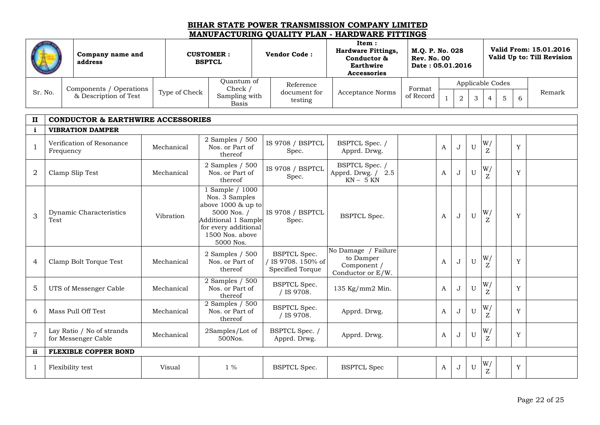| Company name and<br>address |                              |               | <b>CUSTOMER:</b><br><b>BSPTCL</b> | <b>Vendor Code:</b>     | Item:<br><b>Hardware Fittings,</b><br>Conductor &<br><b>Earthwire</b><br>Accessories | M.O. P. No. 028<br><b>Rev. No. 00</b><br>Date: 05.01.2016 |  |  |  |  |                  | Valid From: 15.01.2016<br>Valid Up to: Till Revision |        |
|-----------------------------|------------------------------|---------------|-----------------------------------|-------------------------|--------------------------------------------------------------------------------------|-----------------------------------------------------------|--|--|--|--|------------------|------------------------------------------------------|--------|
|                             | / Operations<br>Components / |               | Ouantum of<br>Check /             | Reference               |                                                                                      | Format                                                    |  |  |  |  | Applicable Codes |                                                      |        |
| Sr. No.                     | & Description of Test        | Type of Check | Sampling with<br>Basis            | document for<br>testing | <b>Acceptance Norms</b>                                                              | of Record                                                 |  |  |  |  |                  |                                                      | Remark |

| $\mathbf{I}$   | <b>CONDUCTOR &amp; EARTHWIRE ACCESSORIES</b>     |            |                                                                                                                                                       |                                                               |                                                                      |   |              |             |         |             |  |
|----------------|--------------------------------------------------|------------|-------------------------------------------------------------------------------------------------------------------------------------------------------|---------------------------------------------------------------|----------------------------------------------------------------------|---|--------------|-------------|---------|-------------|--|
| i              | <b>VIBRATION DAMPER</b>                          |            |                                                                                                                                                       |                                                               |                                                                      |   |              |             |         |             |  |
| $\mathbf{1}$   | Verification of Resonance<br>Frequency           | Mechanical | 2 Samples / 500<br>Nos. or Part of<br>thereof                                                                                                         | IS 9708 / BSPTCL<br>Spec.                                     | BSPTCL Spec. /<br>Apprd. Drwg.                                       | A | J            | U           | W/<br>Z | Y           |  |
| $\overline{2}$ | Clamp Slip Test                                  | Mechanical | 2 Samples / 500<br>Nos. or Part of<br>thereof                                                                                                         | IS 9708 / BSPTCL<br>Spec.                                     | BSPTCL Spec. /<br>Apprd. Drwg. / 2.5<br>$KN - 5 KN$                  | A | J            | $\mathbf U$ | W/      | Y           |  |
| 3              | Dynamic Characteristics<br>Test                  | Vibration  | 1 Sample / 1000<br>Nos. 3 Samples<br>above 1000 & up to<br>5000 Nos. /<br>Additional 1 Sample<br>for every additional<br>1500 Nos. above<br>5000 Nos. | IS 9708 / BSPTCL<br>Spec.                                     | <b>BSPTCL Spec.</b>                                                  | A | J            | U           | W/      | Y           |  |
| 4              | Clamp Bolt Torque Test                           | Mechanical | 2 Samples $/500$<br>Nos. or Part of<br>thereof                                                                                                        | <b>BSPTCL Spec.</b><br>' IS 9708. 150% of<br>Specified Torque | No Damage / Failure<br>to Damper<br>Component /<br>Conductor or E/W. | A | J            | U           | W/      | Y           |  |
| 5              | UTS of Messenger Cable                           | Mechanical | 2 Samples / 500<br>Nos. or Part of<br>thereof                                                                                                         | <b>BSPTCL Spec.</b><br>/ IS 9708.                             | 135 Kg/mm2 Min.                                                      | A | $\mathbf{J}$ | $\mathbf U$ | W/<br>Z | Y           |  |
| 6              | Mass Pull Off Test                               | Mechanical | 2 Samples / 500<br>Nos. or Part of<br>thereof                                                                                                         | <b>BSPTCL Spec.</b><br>/ IS 9708.                             | Apprd. Drwg.                                                         | A | J            | U           | W/      | Y           |  |
| $\overline{7}$ | Lay Ratio / No of strands<br>for Messenger Cable | Mechanical | 2Samples/Lot of<br>500Nos.                                                                                                                            | BSPTCL Spec. /<br>Apprd. Drwg.                                | Apprd. Drwg.                                                         | A | $\mathbf{J}$ | $\mathbf U$ | W/      | Y           |  |
| ii             | <b>FLEXIBLE COPPER BOND</b>                      |            |                                                                                                                                                       |                                                               |                                                                      |   |              |             |         |             |  |
|                | Flexibility test                                 | Visual     | $1\%$                                                                                                                                                 | <b>BSPTCL Spec.</b>                                           | <b>BSPTCL Spec</b>                                                   | A | J            | U           | W/      | $\mathbf Y$ |  |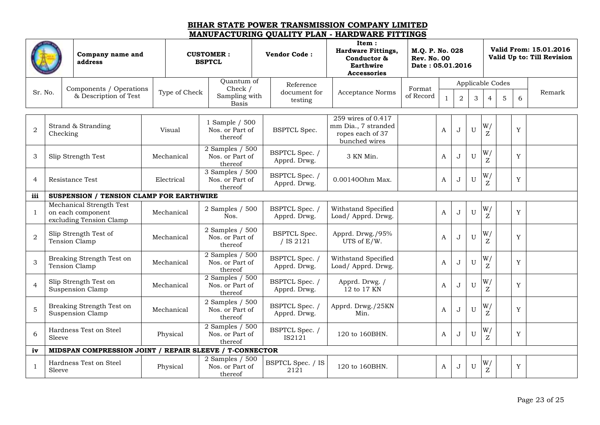|                | Company name and<br>address |                                                                          |  |               | <b>CUSTOMER:</b><br><b>BSPTCL</b>             | <b>Vendor Code:</b>              | Item:<br><b>Hardware Fittings,</b><br>Conductor &<br>Earthwire<br><b>Accessories</b> | M.Q. P. No. 028<br><b>Rev. No. 00</b><br>Date: 05.01.2016 |              |                |              |                      |   |             | Valid From: 15.01.2016<br>Valid Up to: Till Revision |
|----------------|-----------------------------|--------------------------------------------------------------------------|--|---------------|-----------------------------------------------|----------------------------------|--------------------------------------------------------------------------------------|-----------------------------------------------------------|--------------|----------------|--------------|----------------------|---|-------------|------------------------------------------------------|
|                |                             |                                                                          |  |               | Quantum of                                    | Reference                        |                                                                                      |                                                           |              |                |              | Applicable Codes     |   |             |                                                      |
| Sr. No.        |                             | Components / Operations<br>& Description of Test                         |  | Type of Check | Check /<br>Sampling with<br><b>Basis</b>      | document for<br>testing          | <b>Acceptance Norms</b>                                                              | Format<br>of Record                                       | $\mathbf{1}$ | $\overline{2}$ | 3            | 4                    | 5 | 6           | Remark                                               |
| $\overline{a}$ | Checking                    | Strand & Stranding                                                       |  | Visual        | 1 Sample / 500<br>Nos. or Part of<br>thereof  | <b>BSPTCL Spec.</b>              | 259 wires of 0.417<br>mm Dia., 7 stranded<br>ropes each of 37<br>bunched wires       |                                                           | $\mathbf{A}$ | J              | U            | W/<br>Z              |   | Y           |                                                      |
| 3              |                             | Slip Strength Test                                                       |  | Mechanical    | 2 Samples / 500<br>Nos. or Part of<br>thereof | BSPTCL Spec. /<br>Apprd. Drwg.   | 3 KN Min.                                                                            |                                                           | A            | J              | U            | W/<br>Z              |   | Y           |                                                      |
| $\overline{4}$ |                             | Resistance Test                                                          |  | Electrical    | 3 Samples / 500<br>Nos. or Part of<br>thereof | BSPTCL Spec. /<br>Apprd. Drwg.   | 0.001400hm Max.                                                                      |                                                           | A            | J              | U            | W/<br>Z              |   | Y           |                                                      |
| iii            |                             | <b>SUSPENSION / TENSION CLAMP FOR EARTHWIRE</b>                          |  |               |                                               |                                  |                                                                                      |                                                           |              |                |              |                      |   |             |                                                      |
| $\mathbf{1}$   |                             | Mechanical Strength Test<br>on each component<br>excluding Tension Clamp |  | Mechanical    | 2 Samples / 500<br>Nos.                       | BSPTCL Spec.<br>Apprd. Drwg.     | Withstand Specified<br>Load/ Apprd. Drwg.                                            |                                                           | A            | J              | $\mathbf{U}$ | W/<br>$\overline{z}$ |   | Y           |                                                      |
| $\overline{2}$ |                             | Slip Strength Test of<br>Tension Clamp                                   |  | Mechanical    | 2 Samples / 500<br>Nos. or Part of<br>thereof | <b>BSPTCL Spec.</b><br>/ IS 2121 | Apprd. Drwg./95%<br>UTS of E/W.                                                      |                                                           | A            | J              | U            | W/<br>Z              |   | Y           |                                                      |
| $\mathfrak{Z}$ |                             | Breaking Strength Test on<br>Tension Clamp                               |  | Mechanical    | 2 Samples / 500<br>Nos. or Part of<br>thereof | BSPTCL Spec.<br>Apprd. Drwg.     | Withstand Specified<br>Load/ Apprd. Drwg.                                            |                                                           | A            | J              | U            | W/<br>Z              |   | Y           |                                                      |
| $\overline{4}$ |                             | Slip Strength Test on<br>Suspension Clamp                                |  | Mechanical    | 2 Samples / 500<br>Nos. or Part of<br>thereof | BSPTCL Spec. /<br>Apprd. Drwg.   | Apprd. Drwg. /<br>12 to 17 KN                                                        |                                                           | A            | J              | U            | W/<br>Z              |   | Y           |                                                      |
| 5              |                             | Breaking Strength Test on<br>Suspension Clamp                            |  | Mechanical    | 2 Samples / 500<br>Nos. or Part of<br>thereof | BSPTCL Spec. /<br>Apprd. Drwg.   | Apprd. Drwg./25KN<br>Min.                                                            |                                                           | $\mathbf{A}$ | J              | U            | W/<br>$\overline{z}$ |   | Y           |                                                      |
| 6              | Sleeve                      | Hardness Test on Steel                                                   |  | Physical      | 2 Samples / 500<br>Nos. or Part of<br>thereof | BSPTCL Spec. /<br>IS2121         | 120 to 160BHN.                                                                       |                                                           | $\mathbf{A}$ | J              | $\mathbf{U}$ | W/<br>Ζ              |   | Y           |                                                      |
| iv             |                             | MIDSPAN COMPRESSION JOINT / REPAIR SLEEVE / T-CONNECTOR                  |  |               |                                               |                                  |                                                                                      |                                                           |              |                |              |                      |   |             |                                                      |
| $\mathbf{1}$   | Sleeve                      | Hardness Test on Steel                                                   |  | Physical      | 2 Samples / 500<br>Nos. or Part of<br>thereof | BSPTCL Spec. / IS<br>2121        | 120 to 160BHN.                                                                       |                                                           | $\mathbf{A}$ | J              | U            | W/<br>Z              |   | $\mathbf Y$ |                                                      |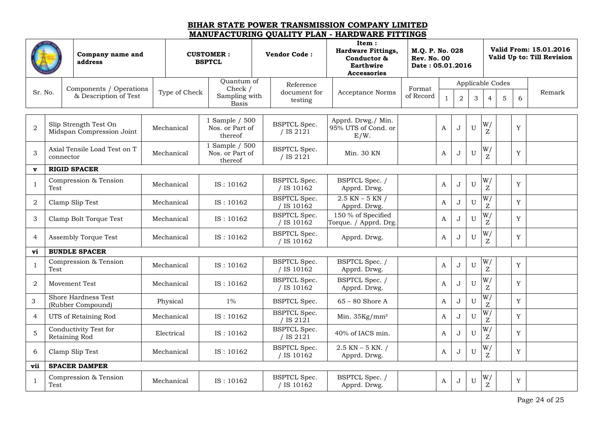| Company name and<br>address |           |                                                  | <b>CUSTOMER:</b><br><b>BSPTCL</b> |                                              | <b>Vendor Code:</b> |                                     | Item:<br><b>Hardware Fittings,</b><br>Conductor &<br><b>Earthwire</b><br><b>Accessories</b> | M.Q. P. No. 028<br><b>Rev. No. 00</b><br>Date: 05.01.2016 |              |                |             |                      |                  |             | Valid From: 15.01.2016<br>Valid Up to: Till Revision |
|-----------------------------|-----------|--------------------------------------------------|-----------------------------------|----------------------------------------------|---------------------|-------------------------------------|---------------------------------------------------------------------------------------------|-----------------------------------------------------------|--------------|----------------|-------------|----------------------|------------------|-------------|------------------------------------------------------|
|                             |           |                                                  |                                   | Quantum of                                   |                     | Reference                           |                                                                                             |                                                           |              |                |             |                      | Applicable Codes |             |                                                      |
| Sr. No.                     |           | Components / Operations<br>& Description of Test | Type of Check                     | Check $/$<br>Sampling with<br><b>Basis</b>   |                     | document for<br>testing             | <b>Acceptance Norms</b>                                                                     | Format<br>of Record                                       |              | $\overline{a}$ | 3           | $\overline{4}$       | 5                | 6           | Remark                                               |
|                             |           | Slip Strength Test On                            |                                   | 1 Sample / 500                               |                     | <b>BSPTCL Spec.</b>                 | Apprd. Drwg./ Min.                                                                          |                                                           |              |                |             | W/                   |                  |             |                                                      |
| $\overline{2}$              |           | Midspan Compression Joint                        | Mechanical                        | Nos. or Part of<br>thereof                   |                     | / IS 2121                           | 95% UTS of Cond. or<br>E/W.                                                                 |                                                           | A            | J              | U           | Z                    |                  | Y           |                                                      |
| $\mathfrak{Z}$              | connector | Axial Tensile Load Test on T                     | Mechanical                        | 1 Sample / 500<br>Nos. or Part of<br>thereof |                     | <b>BSPTCL Spec.</b><br>/ IS $2121$  | Min. 30 KN                                                                                  |                                                           | $\mathbf{A}$ | J              | U           | W/<br>Z              |                  | $\mathbf Y$ |                                                      |
| $\mathbf{v}$                |           | <b>RIGID SPACER</b>                              |                                   |                                              |                     |                                     |                                                                                             |                                                           |              |                |             |                      |                  |             |                                                      |
| $\mathbf{1}$                | Test      | Compression & Tension                            | Mechanical                        | IS: 10162                                    |                     | <b>BSPTCL Spec.</b><br>$/$ IS 10162 | BSPTCL Spec. /<br>Apprd. Drwg.                                                              |                                                           | A            | J              | U           | W/<br>$\overline{z}$ |                  | Y           |                                                      |
| $\overline{a}$              |           | Clamp Slip Test                                  | Mechanical                        | IS: 10162                                    |                     | <b>BSPTCL</b> Spec.<br>/ IS 10162   | $2.5$ KN $-$ 5 KN $/$<br>Apprd. Drwg.                                                       |                                                           | A            | J              | $\mathbf U$ | $\overline{W}$<br>Z  |                  | $\mathbf Y$ |                                                      |
| $\ensuremath{\mathsf{3}}$   |           | Clamp Bolt Torque Test                           | Mechanical                        | IS: 10162                                    |                     | <b>BSPTCL Spec.</b><br>/ IS 10162   | 150 % of Specified<br>Torque. / Apprd. Drg.                                                 |                                                           | A            | J              | U           | W/<br>Z              |                  | Y           |                                                      |
| 4                           |           | Assembly Torque Test                             | Mechanical                        | IS: 10162                                    |                     | <b>BSPTCL Spec.</b><br>/ IS 10162   | Apprd. Drwg.                                                                                |                                                           | A            | J              | U           | W/<br>Z              |                  | Y           |                                                      |
| vi                          |           | <b>BUNDLE SPACER</b>                             |                                   |                                              |                     |                                     |                                                                                             |                                                           |              |                |             |                      |                  |             |                                                      |
| $\mathbf{1}$                | Test      | Compression & Tension                            | Mechanical                        | IS: 10162                                    |                     | <b>BSPTCL Spec.</b><br>/ IS 10162   | BSPTCL Spec. /<br>Apprd. Drwg.                                                              |                                                           | $\mathbf{A}$ | J              | U           | W/<br>$\overline{z}$ |                  | Y           |                                                      |
| $\overline{a}$              |           | Movement Test                                    | Mechanical                        | IS: 10162                                    |                     | <b>BSPTCL Spec.</b><br>$/$ IS 10162 | BSPTCL Spec. /<br>Apprd. Drwg.                                                              |                                                           | A            | J              | U           | W/<br>Z              |                  | Y           |                                                      |
| $\ensuremath{\mathsf{3}}$   |           | <b>Shore Hardness Test</b><br>(Rubber Compound)  | Physical                          | $1\%$                                        |                     | <b>BSPTCL Spec.</b>                 | $65 - 80$ Shore A                                                                           |                                                           | A            | $\mathbf{J}$   | U           | $\overline{W}$<br>Z  |                  | Y           |                                                      |
| $\overline{4}$              |           | UTS of Retaining Rod                             | Mechanical                        | IS: 10162                                    |                     | <b>BSPTCL Spec.</b><br>/ IS $2121$  | Min. 35Kg/mm <sup>2</sup>                                                                   |                                                           | A            | J              | U           | W/<br>Z              |                  | Y           |                                                      |
| $\mathbf 5$                 |           | Conductivity Test for<br>Retaining Rod           | Electrical                        | IS: 10162                                    |                     | <b>BSPTCL Spec.</b><br>/ IS 2121    | 40% of IACS min.                                                                            |                                                           | A            | J              | U           | W/<br>Z              |                  | Y           |                                                      |
| 6                           |           | Clamp Slip Test                                  | Mechanical                        | IS: 10162                                    |                     | <b>BSPTCL Spec.</b><br>/ IS 10162   | $2.5$ KN $-$ 5 KN. /<br>Apprd. Drwg.                                                        |                                                           | A            | J              | U           | W/<br>Z              |                  | Y           |                                                      |
| vii                         |           | <b>SPACER DAMPER</b>                             |                                   |                                              |                     |                                     |                                                                                             |                                                           |              |                |             |                      |                  |             |                                                      |
| $\mathbf{1}$                | Test      | Compression & Tension                            | Mechanical                        | IS: 10162                                    |                     | <b>BSPTCL Spec.</b><br>/ IS 10162   | BSPTCL Spec. /<br>Apprd. Drwg.                                                              |                                                           | $\mathbf{A}$ | J              | U           | W/<br>Z              |                  | Y           |                                                      |